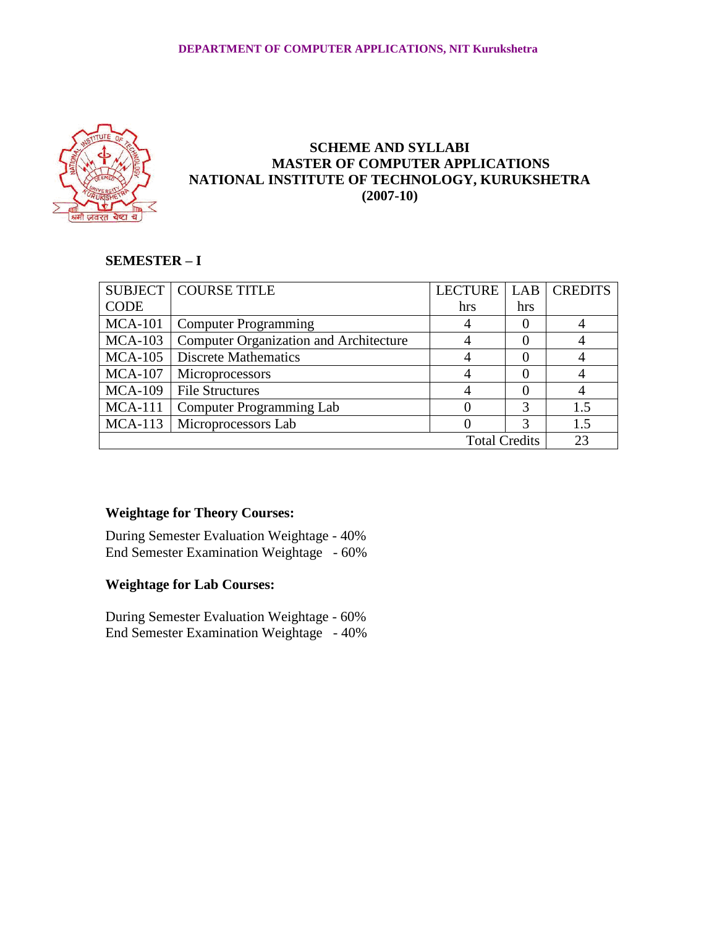

# **SCHEME AND SYLLABI MASTER OF COMPUTER APPLICATIONS NATIONAL INSTITUTE OF TECHNOLOGY, KURUKSHETRA (2007-10)**

# **SEMESTER – I**

|                      | <b>SUBJECT   COURSE TITLE</b>                 | LECTURE |     | <b>LAB CREDITS</b> |
|----------------------|-----------------------------------------------|---------|-----|--------------------|
| <b>CODE</b>          |                                               | hrs     | hrs |                    |
|                      | MCA-101   Computer Programming                |         | 0   |                    |
| $MCA-103$            | <b>Computer Organization and Architecture</b> |         | 0   |                    |
| $MCA-105$            | <b>Discrete Mathematics</b>                   |         |     |                    |
| $MCA-107$            | Microprocessors                               |         |     |                    |
| $MCA-109$            | File Structures                               |         |     |                    |
| $MCA-111$            | <b>Computer Programming Lab</b>               |         | 3   | 1.5                |
|                      | MCA-113   Microprocessors Lab                 |         | 3   | 1.5                |
| <b>Total Credits</b> |                                               |         |     | 23                 |

# **Weightage for Theory Courses:**

During Semester Evaluation Weightage - 40% End Semester Examination Weightage - 60%

# **Weightage for Lab Courses:**

During Semester Evaluation Weightage - 60% End Semester Examination Weightage - 40%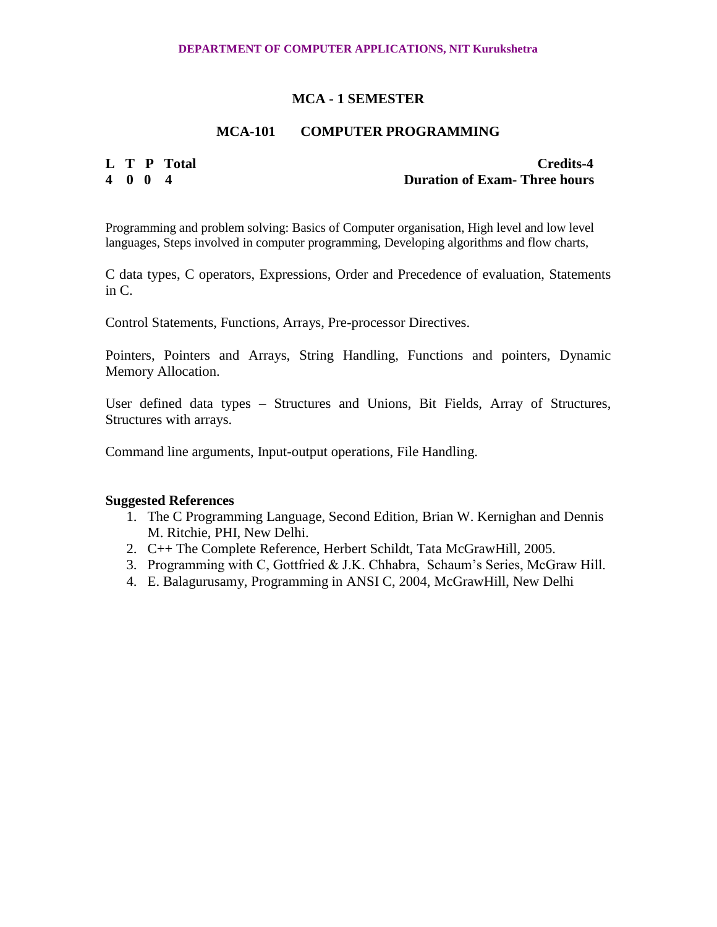# **MCA-101 COMPUTER PROGRAMMING**

**L T P Total Credits-4 4 0 0 4 Duration of Exam- Three hours**

Programming and problem solving: Basics of Computer organisation, High level and low level languages, Steps involved in computer programming, Developing algorithms and flow charts,

C data types, C operators, Expressions, Order and Precedence of evaluation, Statements in C.

Control Statements, Functions, Arrays, Pre-processor Directives.

Pointers, Pointers and Arrays, String Handling, Functions and pointers, Dynamic Memory Allocation.

User defined data types – Structures and Unions, Bit Fields, Array of Structures, Structures with arrays.

Command line arguments, Input-output operations, File Handling.

- 1. The C Programming Language, Second Edition, [Brian W. Kernighan](http://www.cs.bell-labs.com/~bwk) and [Dennis](http://www.cs.bell-labs.com/~dmr)  [M. Ritchie,](http://www.cs.bell-labs.com/~dmr) PHI, New Delhi.
- 2. C++ The Complete Reference, Herbert Schildt, Tata McGrawHill, 2005.
- 3. Programming with C, Gottfried & J.K. Chhabra, Schaum's Series, McGraw Hill.
- 4. E. Balagurusamy, Programming in ANSI C, 2004, McGrawHill, New Delhi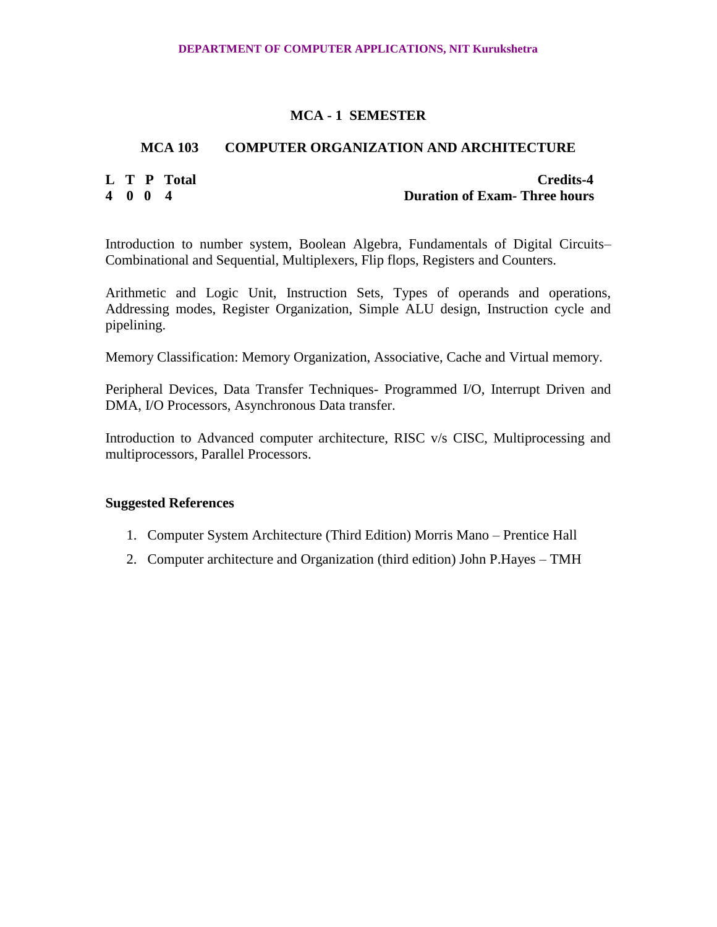# **MCA 103 COMPUTER ORGANIZATION AND ARCHITECTURE**

**L T P Total Credits-4 4 0 0 4 Duration of Exam- Three hours**

Introduction to number system, Boolean Algebra, Fundamentals of Digital Circuits– Combinational and Sequential, Multiplexers, Flip flops, Registers and Counters.

Arithmetic and Logic Unit, Instruction Sets, Types of operands and operations, Addressing modes, Register Organization, Simple ALU design, Instruction cycle and pipelining.

Memory Classification: Memory Organization, Associative, Cache and Virtual memory.

Peripheral Devices, Data Transfer Techniques- Programmed I/O, Interrupt Driven and DMA, I/O Processors, Asynchronous Data transfer.

Introduction to Advanced computer architecture, RISC v/s CISC, Multiprocessing and multiprocessors, Parallel Processors.

- 1. Computer System Architecture (Third Edition) Morris Mano Prentice Hall
- 2. Computer architecture and Organization (third edition) John P.Hayes TMH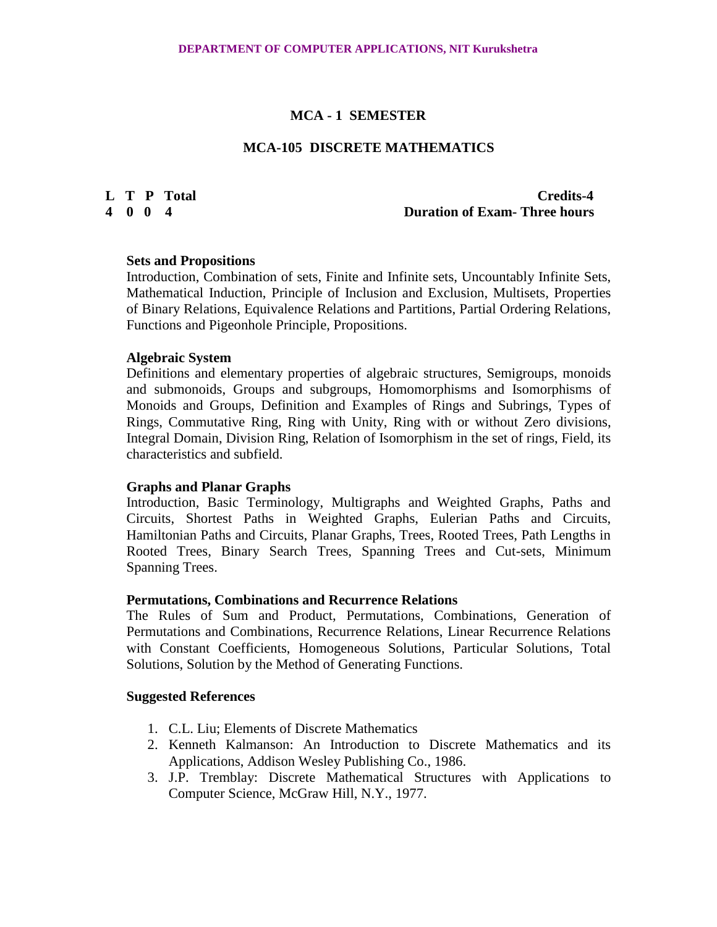#### **MCA-105 DISCRETE MATHEMATICS**

# **L T P Total Credits-4 4 0 0 4 Duration of Exam- Three hours**

#### **Sets and Propositions**

Introduction, Combination of sets, Finite and Infinite sets, Uncountably Infinite Sets, Mathematical Induction, Principle of Inclusion and Exclusion, Multisets, Properties of Binary Relations, Equivalence Relations and Partitions, Partial Ordering Relations, Functions and Pigeonhole Principle, Propositions.

### **Algebraic System**

Definitions and elementary properties of algebraic structures, Semigroups, monoids and submonoids, Groups and subgroups, Homomorphisms and Isomorphisms of Monoids and Groups, Definition and Examples of Rings and Subrings, Types of Rings, Commutative Ring, Ring with Unity, Ring with or without Zero divisions, Integral Domain, Division Ring, Relation of Isomorphism in the set of rings, Field, its characteristics and subfield.

#### **Graphs and Planar Graphs**

Introduction, Basic Terminology, Multigraphs and Weighted Graphs, Paths and Circuits, Shortest Paths in Weighted Graphs, Eulerian Paths and Circuits, Hamiltonian Paths and Circuits, Planar Graphs, Trees, Rooted Trees, Path Lengths in Rooted Trees, Binary Search Trees, Spanning Trees and Cut-sets, Minimum Spanning Trees.

#### **Permutations, Combinations and Recurrence Relations**

The Rules of Sum and Product, Permutations, Combinations, Generation of Permutations and Combinations, Recurrence Relations, Linear Recurrence Relations with Constant Coefficients, Homogeneous Solutions, Particular Solutions, Total Solutions, Solution by the Method of Generating Functions.

- 1. C.L. Liu; Elements of Discrete Mathematics
- 2. Kenneth Kalmanson: An Introduction to Discrete Mathematics and its Applications, Addison Wesley Publishing Co., 1986.
- 3. J.P. Tremblay: Discrete Mathematical Structures with Applications to Computer Science, McGraw Hill, N.Y., 1977.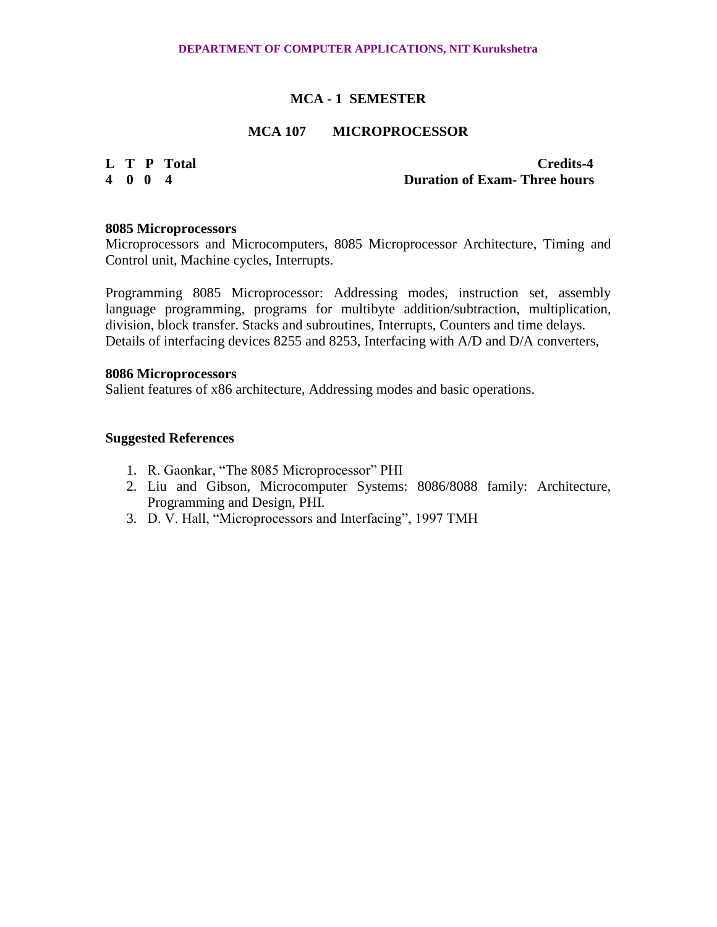# **MCA 107 MICROPROCESSOR**

# **L T P Total Credits-4 4 0 0 4 Duration of Exam- Three hours**

#### **8085 Microprocessors**

Microprocessors and Microcomputers, 8085 Microprocessor Architecture, Timing and Control unit, Machine cycles, Interrupts.

Programming 8085 Microprocessor: Addressing modes, instruction set, assembly language programming, programs for multibyte addition/subtraction, multiplication, division, block transfer. Stacks and subroutines, Interrupts, Counters and time delays. Details of interfacing devices 8255 and 8253, Interfacing with A/D and D/A converters,

#### **8086 Microprocessors**

Salient features of x86 architecture, Addressing modes and basic operations.

- 1. R. Gaonkar, "The 8085 Microprocessor" PHI
- 2. Liu and Gibson, Microcomputer Systems: 8086/8088 family: Architecture, Programming and Design, PHI.
- 3. D. V. Hall, "Microprocessors and Interfacing", 1997 TMH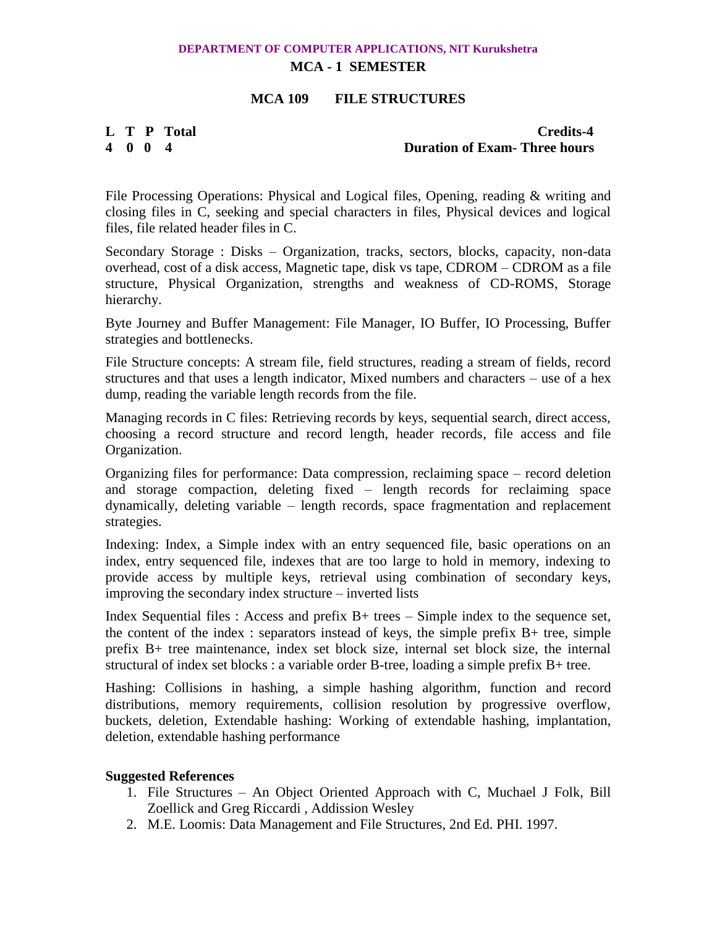# **DEPARTMENT OF COMPUTER APPLICATIONS, NIT Kurukshetra**

# **MCA - 1 SEMESTER**

# **MCA 109 FILE STRUCTURES**

# **L T P Total Credits-4**<br> **4 0 0 4**<br> **1 Duration of Exam- Three hours 4 0 0 4 Duration of Exam- Three hours**

File Processing Operations: Physical and Logical files, Opening, reading & writing and closing files in C, seeking and special characters in files, Physical devices and logical files, file related header files in C.

Secondary Storage : Disks – Organization, tracks, sectors, blocks, capacity, non-data overhead, cost of a disk access, Magnetic tape, disk vs tape, CDROM – CDROM as a file structure, Physical Organization, strengths and weakness of CD-ROMS, Storage hierarchy.

Byte Journey and Buffer Management: File Manager, IO Buffer, IO Processing, Buffer strategies and bottlenecks.

File Structure concepts: A stream file, field structures, reading a stream of fields, record structures and that uses a length indicator, Mixed numbers and characters – use of a hex dump, reading the variable length records from the file.

Managing records in C files: Retrieving records by keys, sequential search, direct access, choosing a record structure and record length, header records, file access and file Organization.

Organizing files for performance: Data compression, reclaiming space – record deletion and storage compaction, deleting fixed – length records for reclaiming space dynamically, deleting variable – length records, space fragmentation and replacement strategies.

Indexing: Index, a Simple index with an entry sequenced file, basic operations on an index, entry sequenced file, indexes that are too large to hold in memory, indexing to provide access by multiple keys, retrieval using combination of secondary keys, improving the secondary index structure – inverted lists

Index Sequential files : Access and prefix B+ trees – Simple index to the sequence set, the content of the index : separators instead of keys, the simple prefix B+ tree, simple prefix B+ tree maintenance, index set block size, internal set block size, the internal structural of index set blocks : a variable order B-tree, loading a simple prefix B+ tree.

Hashing: Collisions in hashing, a simple hashing algorithm, function and record distributions, memory requirements, collision resolution by progressive overflow, buckets, deletion, Extendable hashing: Working of extendable hashing, implantation, deletion, extendable hashing performance

- 1. File Structures An Object Oriented Approach with C, Muchael J Folk, Bill Zoellick and Greg Riccardi , Addission Wesley
- 2. M.E. Loomis: Data Management and File Structures, 2nd Ed. PHI. 1997.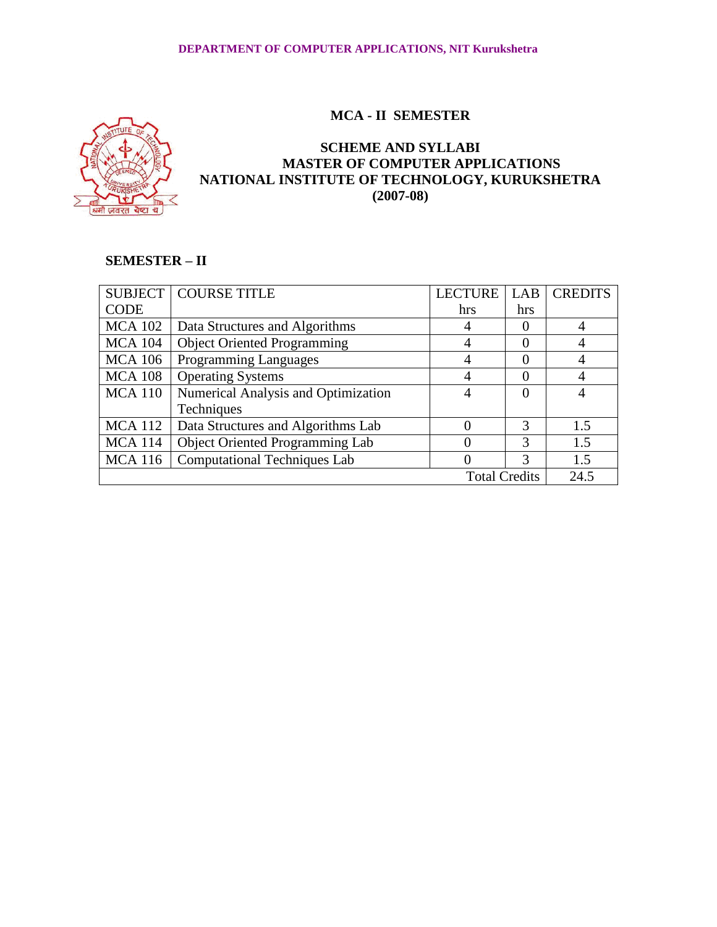

# **SCHEME AND SYLLABI MASTER OF COMPUTER APPLICATIONS NATIONAL INSTITUTE OF TECHNOLOGY, KURUKSHETRA (2007-08)**

# **SEMESTER – II**

|                              | <b>SUBJECT   COURSE TITLE</b>          | <b>LECTURE</b> | LAB      | <b>CREDITS</b> |
|------------------------------|----------------------------------------|----------------|----------|----------------|
| <b>CODE</b>                  |                                        | hrs            | hrs      |                |
| <b>MCA 102</b>               | Data Structures and Algorithms         |                | $\Omega$ |                |
| <b>MCA 104</b>               | <b>Object Oriented Programming</b>     |                | $\Omega$ |                |
| <b>MCA 106</b>               | <b>Programming Languages</b>           |                | $\Omega$ |                |
| <b>MCA 108</b>               | <b>Operating Systems</b>               |                | 0        |                |
| <b>MCA 110</b>               | Numerical Analysis and Optimization    |                | $\Omega$ |                |
|                              | Techniques                             |                |          |                |
| <b>MCA</b> 112               | Data Structures and Algorithms Lab     |                | 3        | 1.5            |
| <b>MCA</b> 114               | <b>Object Oriented Programming Lab</b> |                | 3        | 1.5            |
| <b>MCA 116</b>               | <b>Computational Techniques Lab</b>    |                | 3        | 1.5            |
| <b>Total Credits</b><br>24.5 |                                        |                |          |                |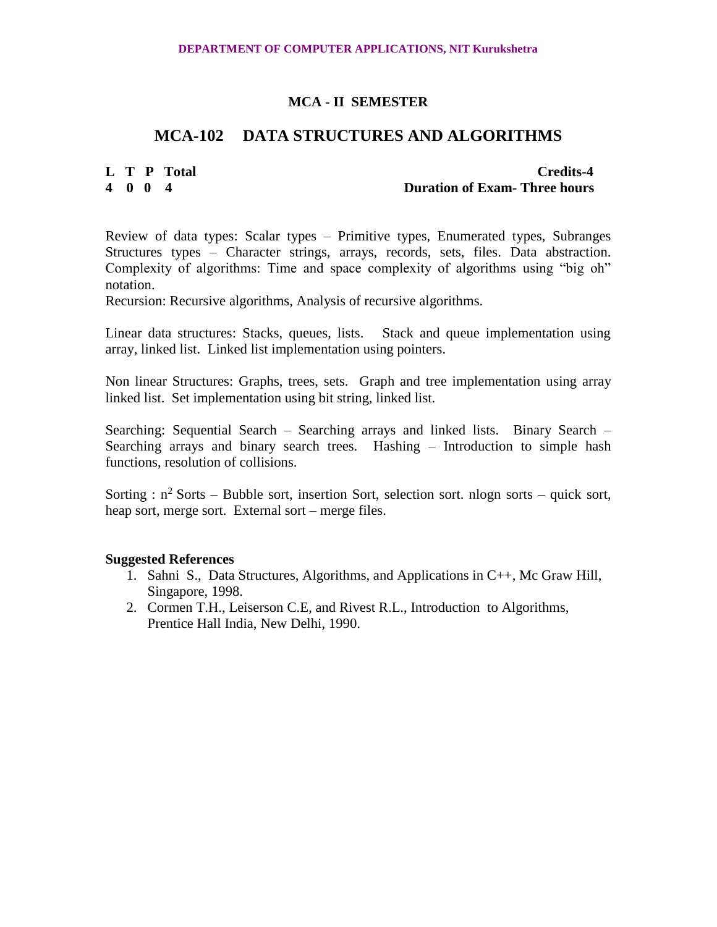# **MCA-102 DATA STRUCTURES AND ALGORITHMS**

# **L T P Total Credits-4**<br> **A** 0 0 4<br> **Duration of Exam- Three hours 4 0 0 4 Duration of Exam- Three hours**

Review of data types: Scalar types – Primitive types, Enumerated types, Subranges Structures types – Character strings, arrays, records, sets, files. Data abstraction. Complexity of algorithms: Time and space complexity of algorithms using "big oh" notation.

Recursion: Recursive algorithms, Analysis of recursive algorithms.

Linear data structures: Stacks, queues, lists. Stack and queue implementation using array, linked list. Linked list implementation using pointers.

Non linear Structures: Graphs, trees, sets. Graph and tree implementation using array linked list. Set implementation using bit string, linked list.

Searching: Sequential Search – Searching arrays and linked lists. Binary Search – Searching arrays and binary search trees. Hashing – Introduction to simple hash functions, resolution of collisions.

Sorting :  $n^2$  Sorts – Bubble sort, insertion Sort, selection sort. nlogn sorts – quick sort, heap sort, merge sort. External sort – merge files.

- 1. Sahni S., Data Structures, Algorithms, and Applications in C++, Mc Graw Hill, Singapore, 1998.
- 2. Cormen T.H., Leiserson C.E, and Rivest R.L., Introduction to Algorithms, Prentice Hall India, New Delhi, 1990.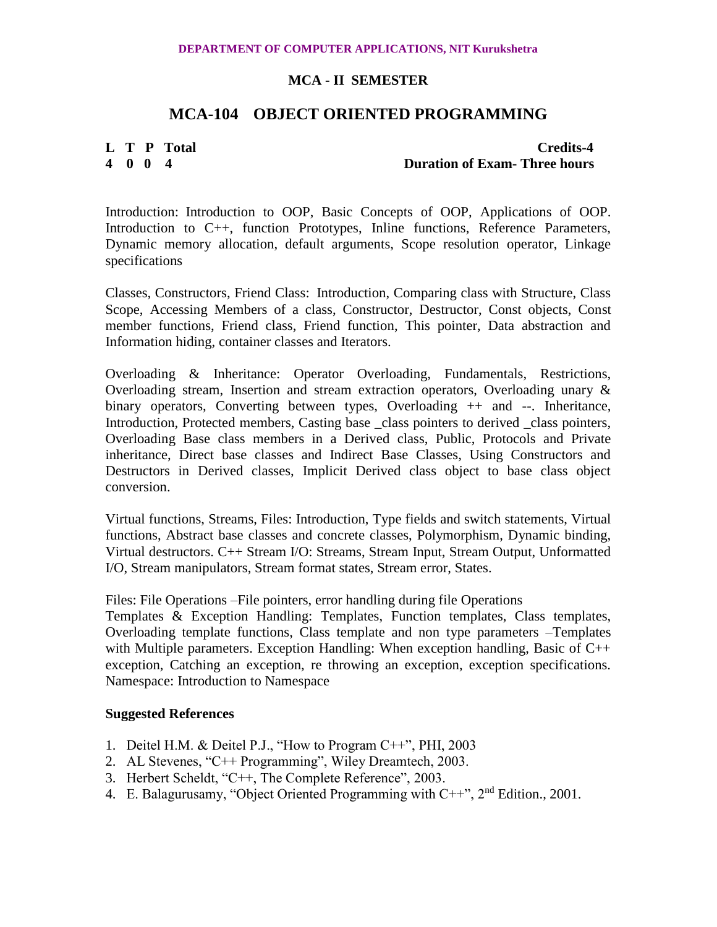# **MCA-104 OBJECT ORIENTED PROGRAMMING**

# **L T P Total Credits-4 4 0 0 4 Duration of Exam- Three hours**

Introduction: Introduction to OOP, Basic Concepts of OOP, Applications of OOP. Introduction to C++, function Prototypes, Inline functions, Reference Parameters, Dynamic memory allocation, default arguments, Scope resolution operator, Linkage specifications

Classes, Constructors, Friend Class: Introduction, Comparing class with Structure, Class Scope, Accessing Members of a class, Constructor, Destructor, Const objects, Const member functions, Friend class, Friend function, This pointer, Data abstraction and Information hiding, container classes and Iterators.

Overloading & Inheritance: Operator Overloading, Fundamentals, Restrictions, Overloading stream, Insertion and stream extraction operators, Overloading unary & binary operators, Converting between types, Overloading ++ and --. Inheritance, Introduction, Protected members, Casting base class pointers to derived class pointers, Overloading Base class members in a Derived class, Public, Protocols and Private inheritance, Direct base classes and Indirect Base Classes, Using Constructors and Destructors in Derived classes, Implicit Derived class object to base class object conversion.

Virtual functions, Streams, Files: Introduction, Type fields and switch statements, Virtual functions, Abstract base classes and concrete classes, Polymorphism, Dynamic binding, Virtual destructors. C++ Stream I/O: Streams, Stream Input, Stream Output, Unformatted I/O, Stream manipulators, Stream format states, Stream error, States.

Files: File Operations –File pointers, error handling during file Operations

Templates & Exception Handling: Templates, Function templates, Class templates, Overloading template functions, Class template and non type parameters –Templates with Multiple parameters. Exception Handling: When exception handling, Basic of C++ exception, Catching an exception, re throwing an exception, exception specifications. Namespace: Introduction to Namespace

- 1. Deitel H.M. & Deitel P.J., "How to Program C++", PHI, 2003
- 2. AL Stevenes, "C++ Programming", Wiley Dreamtech, 2003.
- 3. Herbert Scheldt, "C++, The Complete Reference", 2003.
- 4. E. Balagurusamy, "Object Oriented Programming with  $C++$ ",  $2<sup>nd</sup>$  Edition., 2001.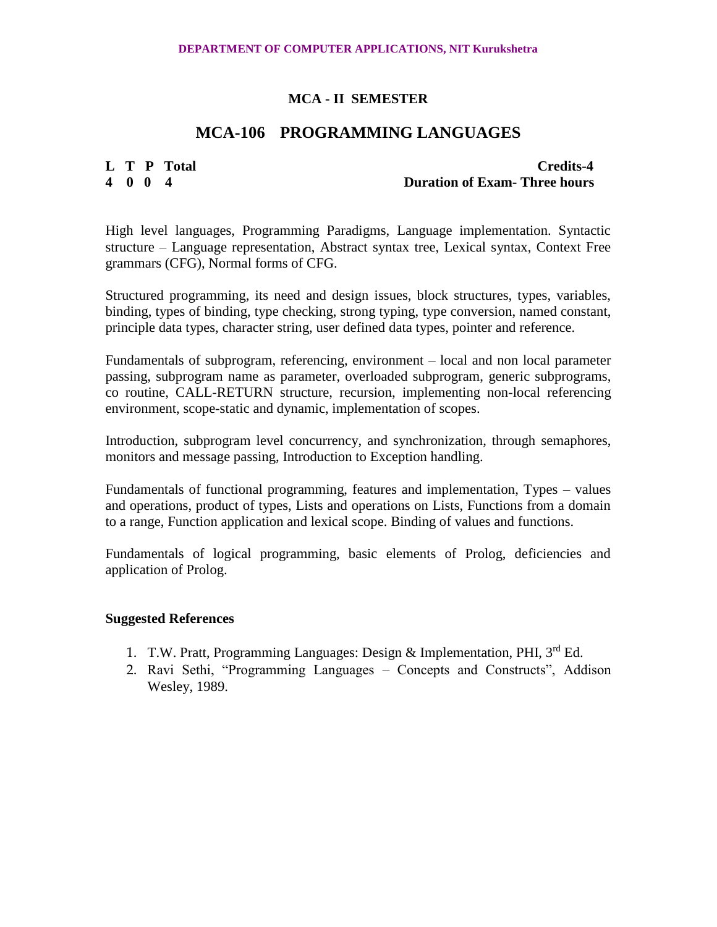# **MCA-106 PROGRAMMING LANGUAGES**

**L T P Total Credits-4**<br> **A** 0 0 4 **Duration of Exam-Three hours 4 0 0 4 Duration of Exam- Three hours**

High level languages, Programming Paradigms, Language implementation. Syntactic structure – Language representation, Abstract syntax tree, Lexical syntax, Context Free grammars (CFG), Normal forms of CFG.

Structured programming, its need and design issues, block structures, types, variables, binding, types of binding, type checking, strong typing, type conversion, named constant, principle data types, character string, user defined data types, pointer and reference.

Fundamentals of subprogram, referencing, environment – local and non local parameter passing, subprogram name as parameter, overloaded subprogram, generic subprograms, co routine, CALL-RETURN structure, recursion, implementing non-local referencing environment, scope-static and dynamic, implementation of scopes.

Introduction, subprogram level concurrency, and synchronization, through semaphores, monitors and message passing, Introduction to Exception handling.

Fundamentals of functional programming, features and implementation, Types – values and operations, product of types, Lists and operations on Lists, Functions from a domain to a range, Function application and lexical scope. Binding of values and functions.

Fundamentals of logical programming, basic elements of Prolog, deficiencies and application of Prolog.

- 1. T.W. Pratt, Programming Languages: Design & Implementation, PHI, 3rd Ed.
- 2. Ravi Sethi, "Programming Languages Concepts and Constructs", Addison Wesley, 1989.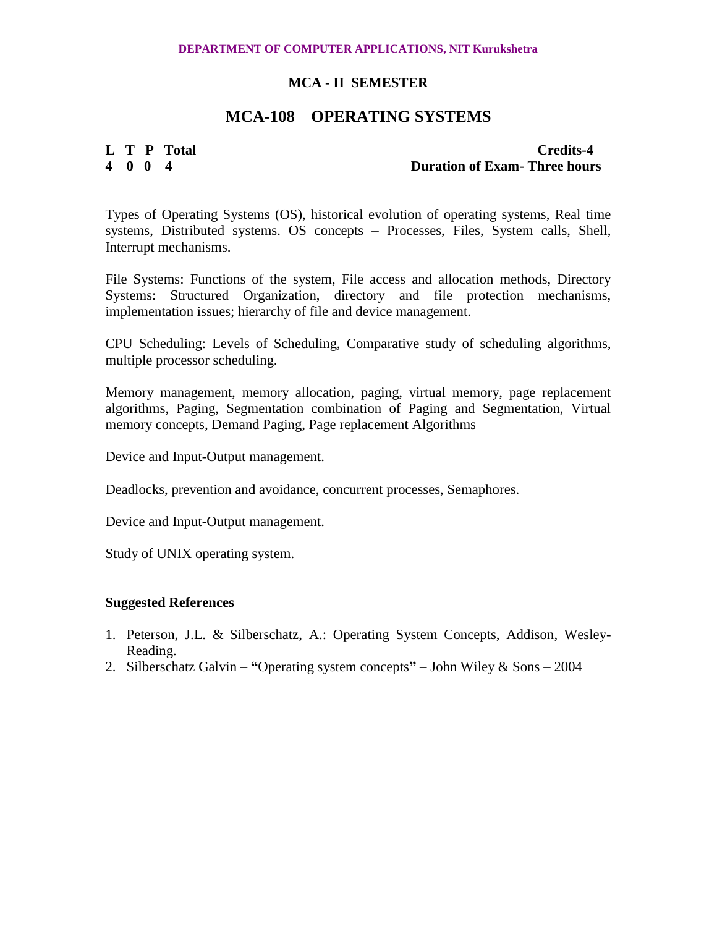# **MCA-108 OPERATING SYSTEMS**

**L T P Total Credits-4 4 0 0 4 Duration of Exam- Three hours**

Types of Operating Systems (OS), historical evolution of operating systems, Real time systems, Distributed systems. OS concepts – Processes, Files, System calls, Shell, Interrupt mechanisms.

File Systems: Functions of the system, File access and allocation methods, Directory Systems: Structured Organization, directory and file protection mechanisms, implementation issues; hierarchy of file and device management.

CPU Scheduling: Levels of Scheduling, Comparative study of scheduling algorithms, multiple processor scheduling.

Memory management, memory allocation, paging, virtual memory, page replacement algorithms, Paging, Segmentation combination of Paging and Segmentation, Virtual memory concepts, Demand Paging, Page replacement Algorithms

Device and Input-Output management.

Deadlocks, prevention and avoidance, concurrent processes, Semaphores.

Device and Input-Output management.

Study of UNIX operating system.

- 1. Peterson, J.L. & Silberschatz, A.: Operating System Concepts, Addison, Wesley-Reading.
- 2. Silberschatz Galvin **"**Operating system concepts**"**  John Wiley & Sons 2004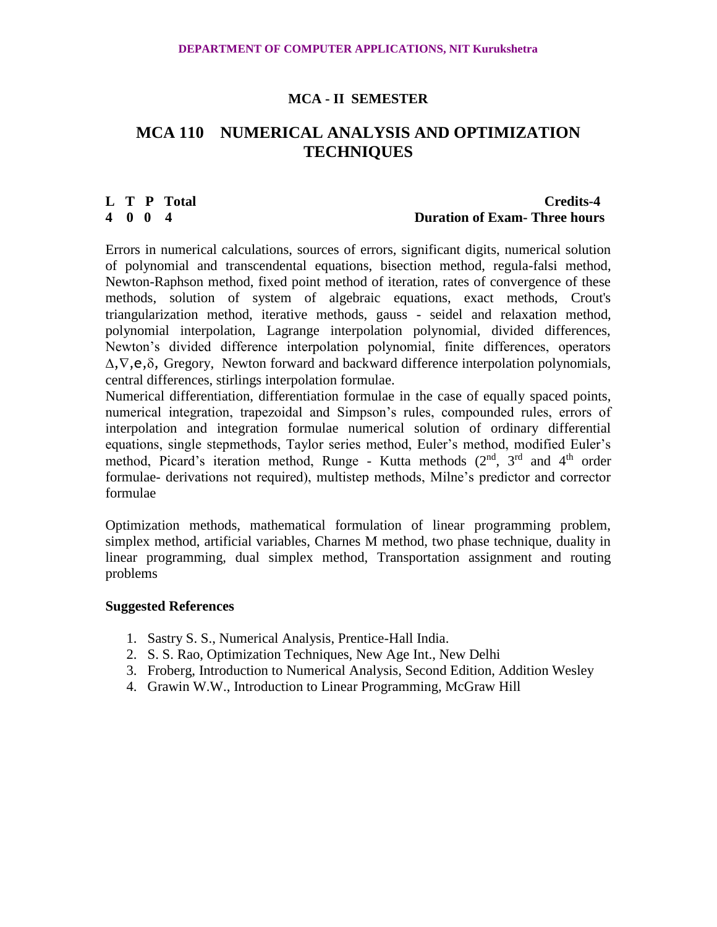# **MCA 110 NUMERICAL ANALYSIS AND OPTIMIZATION TECHNIQUES**

# **L T P Total Credits-4 4 0 0 4 Duration of Exam- Three hours**

Errors in numerical calculations, sources of errors, significant digits, numerical solution of polynomial and transcendental equations, bisection method, regula-falsi method, Newton-Raphson method, fixed point method of iteration, rates of convergence of these methods, solution of system of algebraic equations, exact methods, Crout's triangularization method, iterative methods, gauss - seidel and relaxation method, polynomial interpolation, Lagrange interpolation polynomial, divided differences, Newton's divided difference interpolation polynomial, finite differences, operators  $\Delta$ ,  $\nabla$ ,  $\mathbf{e}$ ,  $\delta$ , Gregory, Newton forward and backward difference interpolation polynomials, central differences, stirlings interpolation formulae.

Numerical differentiation, differentiation formulae in the case of equally spaced points, numerical integration, trapezoidal and Simpson's rules, compounded rules, errors of interpolation and integration formulae numerical solution of ordinary differential equations, single stepmethods, Taylor series method, Euler's method, modified Euler's method, Picard's iteration method, Runge - Kutta methods  $(2^{nd}, 3^{rd}$  and  $4^{th}$  order formulae- derivations not required), multistep methods, Milne's predictor and corrector formulae

Optimization methods, mathematical formulation of linear programming problem, simplex method, artificial variables, Charnes M method, two phase technique, duality in linear programming, dual simplex method, Transportation assignment and routing problems

- 1. Sastry S. S., Numerical Analysis, Prentice-Hall India.
- 2. S. S. Rao, Optimization Techniques, New Age Int., New Delhi
- 3. Froberg, Introduction to Numerical Analysis, Second Edition, Addition Wesley
- 4. Grawin W.W., Introduction to Linear Programming, McGraw Hill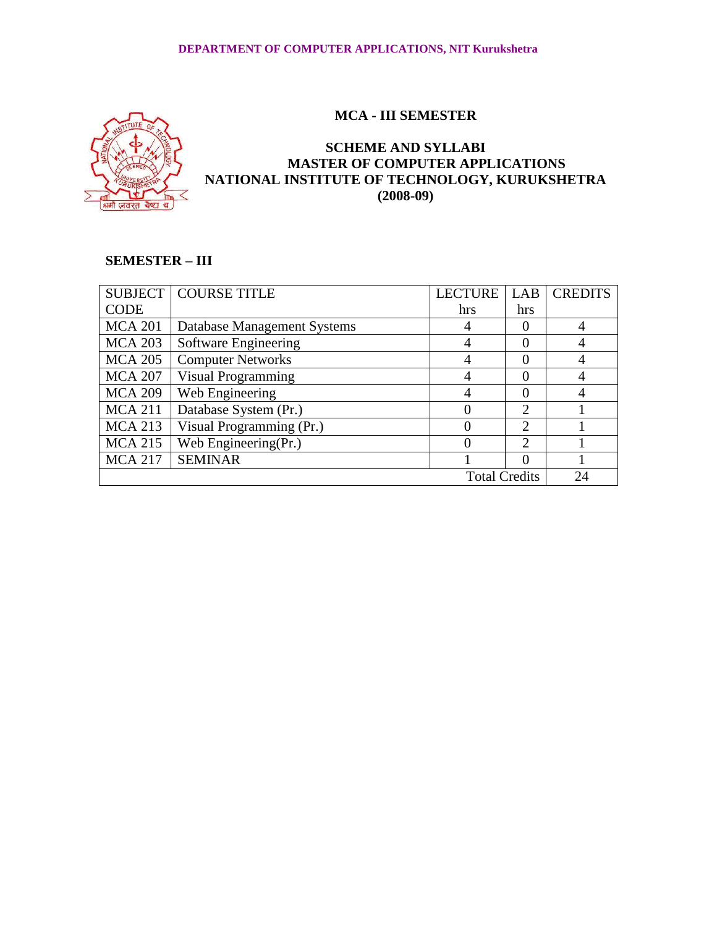



# **SCHEME AND SYLLABI MASTER OF COMPUTER APPLICATIONS NATIONAL INSTITUTE OF TECHNOLOGY, KURUKSHETRA (2008-09)**

# **SEMESTER – III**

| <b>SUBJECT</b> | <b>COURSE TITLE</b>         | <b>LECTURE</b>       | LAB                         | <b>CREDITS</b> |
|----------------|-----------------------------|----------------------|-----------------------------|----------------|
| <b>CODE</b>    |                             | hrs                  | hrs                         |                |
| <b>MCA 201</b> | Database Management Systems |                      | 0                           |                |
| <b>MCA 203</b> | Software Engineering        |                      | $\Omega$                    |                |
| <b>MCA 205</b> | <b>Computer Networks</b>    |                      | $\Omega$                    |                |
| <b>MCA 207</b> | <b>Visual Programming</b>   |                      | $\Omega$                    |                |
| <b>MCA 209</b> | Web Engineering             |                      | $\Omega$                    |                |
| <b>MCA 211</b> | Database System (Pr.)       |                      | $\overline{2}$              |                |
| <b>MCA 213</b> | Visual Programming (Pr.)    |                      | $\mathfrak{D}$              |                |
| <b>MCA 215</b> | Web Engineering(Pr.)        |                      | $\mathcal{D}_{\mathcal{A}}$ |                |
| <b>MCA 217</b> | <b>SEMINAR</b>              |                      | $\Omega$                    |                |
|                |                             | <b>Total Credits</b> |                             | 24             |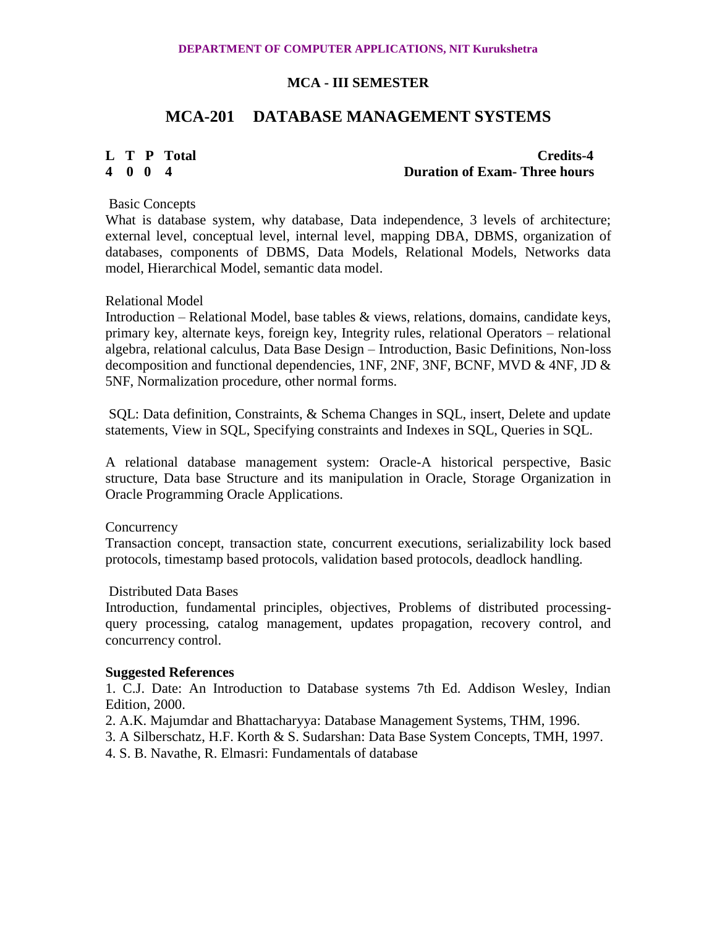# **MCA-201 DATABASE MANAGEMENT SYSTEMS**

### **L T P Total Credits-4 4 0 0 4 Duration of Exam- Three hours**

### Basic Concepts

What is database system, why database, Data independence, 3 levels of architecture; external level, conceptual level, internal level, mapping DBA, DBMS, organization of databases, components of DBMS, Data Models, Relational Models, Networks data model, Hierarchical Model, semantic data model.

### Relational Model

Introduction – Relational Model, base tables & views, relations, domains, candidate keys, primary key, alternate keys, foreign key, Integrity rules, relational Operators – relational algebra, relational calculus, Data Base Design – Introduction, Basic Definitions, Non-loss decomposition and functional dependencies, 1NF, 2NF, 3NF, BCNF, MVD & 4NF, JD  $\&$ 5NF, Normalization procedure, other normal forms.

SQL: Data definition, Constraints, & Schema Changes in SQL, insert, Delete and update statements, View in SQL, Specifying constraints and Indexes in SQL, Queries in SQL.

A relational database management system: Oracle-A historical perspective, Basic structure, Data base Structure and its manipulation in Oracle, Storage Organization in Oracle Programming Oracle Applications.

**Concurrency** 

Transaction concept, transaction state, concurrent executions, serializability lock based protocols, timestamp based protocols, validation based protocols, deadlock handling.

#### Distributed Data Bases

Introduction, fundamental principles, objectives, Problems of distributed processingquery processing, catalog management, updates propagation, recovery control, and concurrency control.

#### **Suggested References**

1. C.J. Date: An Introduction to Database systems 7th Ed. Addison Wesley, Indian Edition, 2000.

2. A.K. Majumdar and Bhattacharyya: Database Management Systems, THM, 1996.

3. A Silberschatz, H.F. Korth & S. Sudarshan: Data Base System Concepts, TMH, 1997.

4. S. B. Navathe, R. Elmasri: Fundamentals of database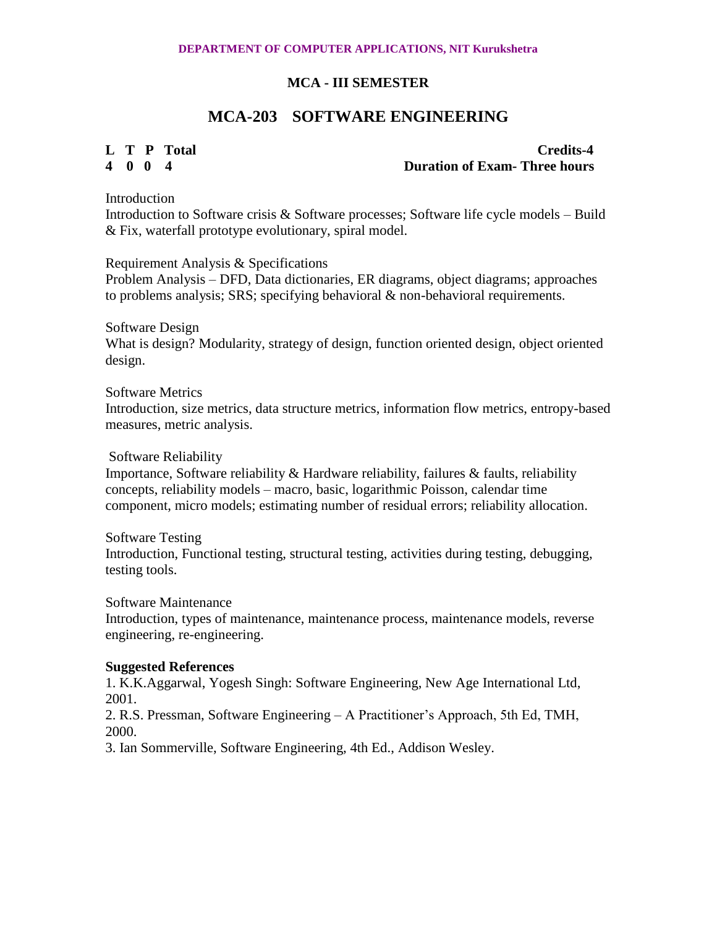# **MCA-203 SOFTWARE ENGINEERING**

**L T P Total Credits-4 4 0 0 4 Duration of Exam- Three hours**

**Introduction** 

Introduction to Software crisis & Software processes; Software life cycle models – Build & Fix, waterfall prototype evolutionary, spiral model.

Requirement Analysis & Specifications

Problem Analysis – DFD, Data dictionaries, ER diagrams, object diagrams; approaches to problems analysis;  $SRS$ ; specifying behavioral & non-behavioral requirements.

Software Design What is design? Modularity, strategy of design, function oriented design, object oriented design.

Software Metrics

Introduction, size metrics, data structure metrics, information flow metrics, entropy-based measures, metric analysis.

Software Reliability

Importance, Software reliability & Hardware reliability, failures & faults, reliability concepts, reliability models – macro, basic, logarithmic Poisson, calendar time component, micro models; estimating number of residual errors; reliability allocation.

Software Testing Introduction, Functional testing, structural testing, activities during testing, debugging, testing tools.

Software Maintenance

Introduction, types of maintenance, maintenance process, maintenance models, reverse engineering, re-engineering.

# **Suggested References**

1. K.K.Aggarwal, Yogesh Singh: Software Engineering, New Age International Ltd, 2001.

2. R.S. Pressman, Software Engineering – A Practitioner's Approach, 5th Ed, TMH, 2000.

3. Ian Sommerville, Software Engineering, 4th Ed., Addison Wesley.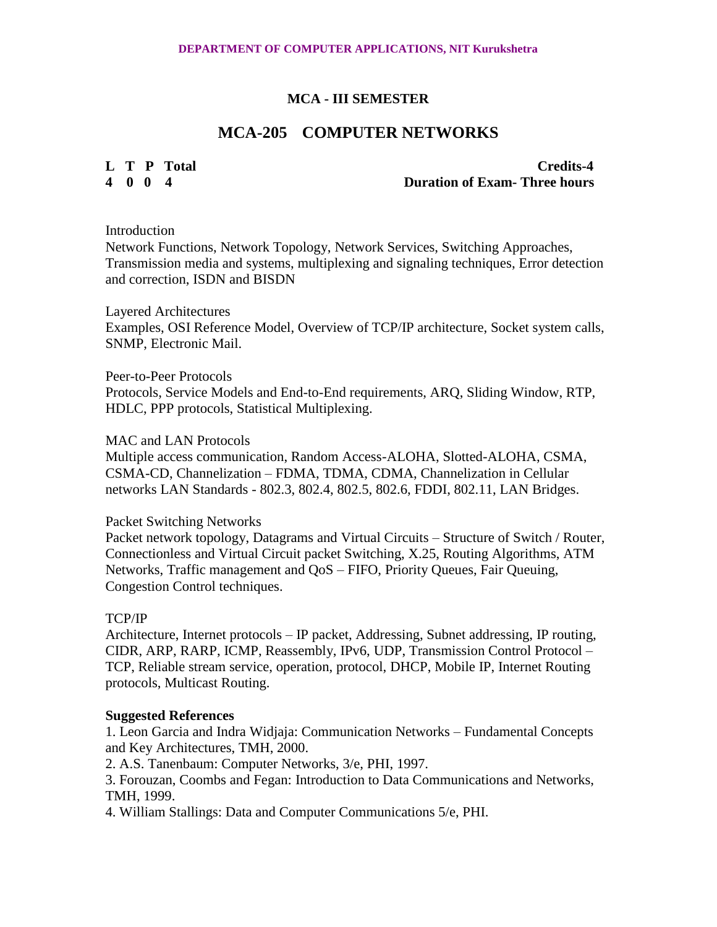# **MCA-205 COMPUTER NETWORKS**

**L T P Total Credits-4 4 0 0 4 Duration of Exam- Three hours**

### Introduction

Network Functions, Network Topology, Network Services, Switching Approaches, Transmission media and systems, multiplexing and signaling techniques, Error detection and correction, ISDN and BISDN

Layered Architectures Examples, OSI Reference Model, Overview of TCP/IP architecture, Socket system calls, SNMP, Electronic Mail.

### Peer-to-Peer Protocols

Protocols, Service Models and End-to-End requirements, ARQ, Sliding Window, RTP, HDLC, PPP protocols, Statistical Multiplexing.

# MAC and LAN Protocols

Multiple access communication, Random Access-ALOHA, Slotted-ALOHA, CSMA, CSMA-CD, Channelization – FDMA, TDMA, CDMA, Channelization in Cellular networks LAN Standards - 802.3, 802.4, 802.5, 802.6, FDDI, 802.11, LAN Bridges.

# Packet Switching Networks

Packet network topology, Datagrams and Virtual Circuits – Structure of Switch / Router, Connectionless and Virtual Circuit packet Switching, X.25, Routing Algorithms, ATM Networks, Traffic management and QoS – FIFO, Priority Queues, Fair Queuing, Congestion Control techniques.

# TCP/IP

Architecture, Internet protocols – IP packet, Addressing, Subnet addressing, IP routing, CIDR, ARP, RARP, ICMP, Reassembly, IPv6, UDP, Transmission Control Protocol – TCP, Reliable stream service, operation, protocol, DHCP, Mobile IP, Internet Routing protocols, Multicast Routing.

# **Suggested References**

1. Leon Garcia and Indra Widjaja: Communication Networks – Fundamental Concepts and Key Architectures, TMH, 2000.

2. A.S. Tanenbaum: Computer Networks, 3/e, PHI, 1997.

3. Forouzan, Coombs and Fegan: Introduction to Data Communications and Networks, TMH, 1999.

4. William Stallings: Data and Computer Communications 5/e, PHI.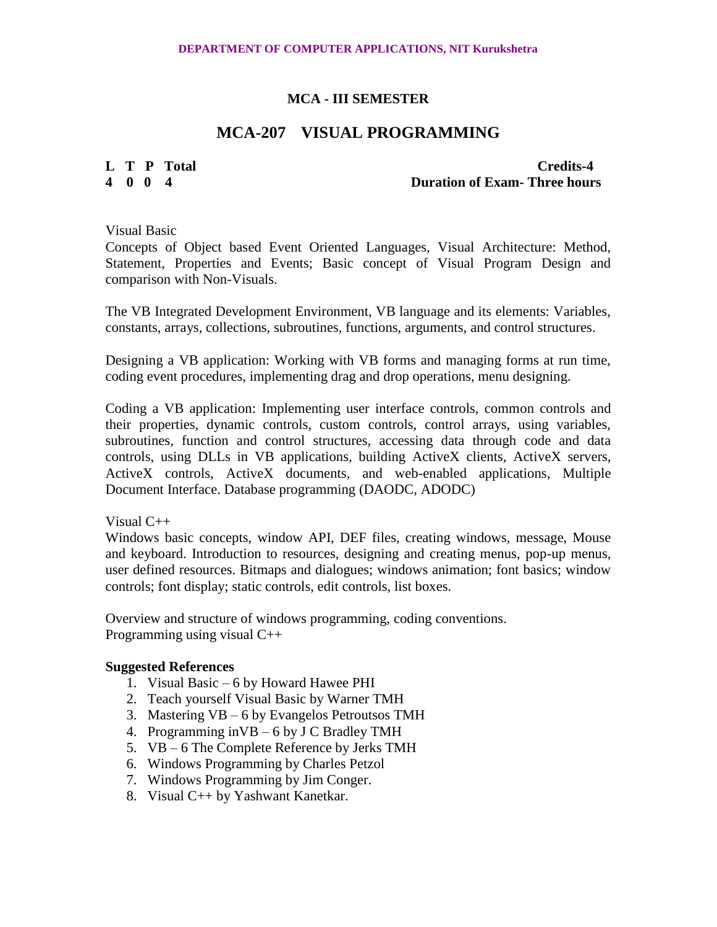# **MCA-207 VISUAL PROGRAMMING**

**L T P Total Credits-4**<br> **A** 0 0 4<br> **Duration of Exam-Three hours 4 0 0 4 Duration of Exam- Three hours**

Visual Basic

Concepts of Object based Event Oriented Languages, Visual Architecture: Method, Statement, Properties and Events; Basic concept of Visual Program Design and comparison with Non-Visuals.

The VB Integrated Development Environment, VB language and its elements: Variables, constants, arrays, collections, subroutines, functions, arguments, and control structures.

Designing a VB application: Working with VB forms and managing forms at run time, coding event procedures, implementing drag and drop operations, menu designing.

Coding a VB application: Implementing user interface controls, common controls and their properties, dynamic controls, custom controls, control arrays, using variables, subroutines, function and control structures, accessing data through code and data controls, using DLLs in VB applications, building ActiveX clients, ActiveX servers, ActiveX controls, ActiveX documents, and web-enabled applications, Multiple Document Interface. Database programming (DAODC, ADODC)

Visual C++

Windows basic concepts, window API, DEF files, creating windows, message, Mouse and keyboard. Introduction to resources, designing and creating menus, pop-up menus, user defined resources. Bitmaps and dialogues; windows animation; font basics; window controls; font display; static controls, edit controls, list boxes.

Overview and structure of windows programming, coding conventions. Programming using visual C++

- 1. Visual Basic 6 by Howard Hawee PHI
- 2. Teach yourself Visual Basic by Warner TMH
- 3. Mastering VB 6 by Evangelos Petroutsos TMH
- 4. Programming inVB 6 by J C Bradley TMH
- 5. VB 6 The Complete Reference by Jerks TMH
- 6. Windows Programming by Charles Petzol
- 7. Windows Programming by Jim Conger.
- 8. Visual C++ by Yashwant Kanetkar.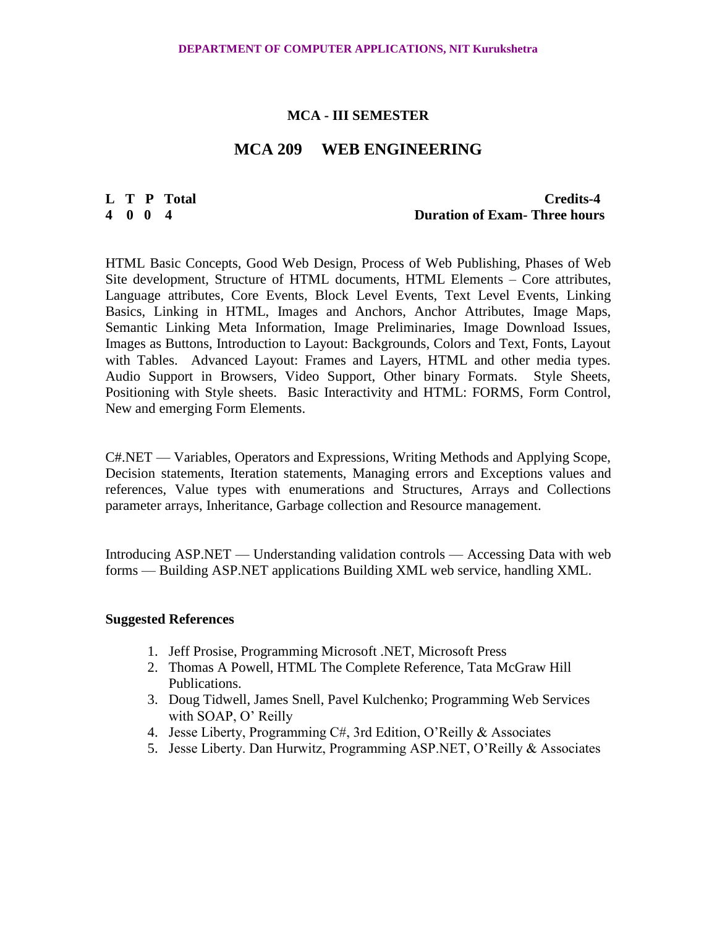# **MCA 209 WEB ENGINEERING**

### **L T P Total Credits-4 4 0 0 4 Duration of Exam- Three hours**

HTML Basic Concepts, Good Web Design, Process of Web Publishing, Phases of Web Site development, Structure of HTML documents, HTML Elements – Core attributes, Language attributes, Core Events, Block Level Events, Text Level Events, Linking Basics, Linking in HTML, Images and Anchors, Anchor Attributes, Image Maps, Semantic Linking Meta Information, Image Preliminaries, Image Download Issues, Images as Buttons, Introduction to Layout: Backgrounds, Colors and Text, Fonts, Layout with Tables. Advanced Layout: Frames and Layers, HTML and other media types. Audio Support in Browsers, Video Support, Other binary Formats. Style Sheets, Positioning with Style sheets. Basic Interactivity and HTML: FORMS, Form Control, New and emerging Form Elements.

C#.NET — Variables, Operators and Expressions, Writing Methods and Applying Scope, Decision statements, Iteration statements, Managing errors and Exceptions values and references, Value types with enumerations and Structures, Arrays and Collections parameter arrays, Inheritance, Garbage collection and Resource management.

Introducing ASP.NET — Understanding validation controls — Accessing Data with web forms — Building ASP.NET applications Building XML web service, handling XML.

- 1. Jeff Prosise, Programming Microsoft .NET, Microsoft Press
- 2. Thomas A Powell, HTML The Complete Reference, Tata McGraw Hill Publications.
- 3. Doug Tidwell, James Snell, Pavel Kulchenko; Programming Web Services with SOAP, O' Reilly
- 4. Jesse Liberty, Programming C#, 3rd Edition, O'Reilly & Associates
- 5. Jesse Liberty. Dan Hurwitz, Programming ASP.NET, O'Reilly & Associates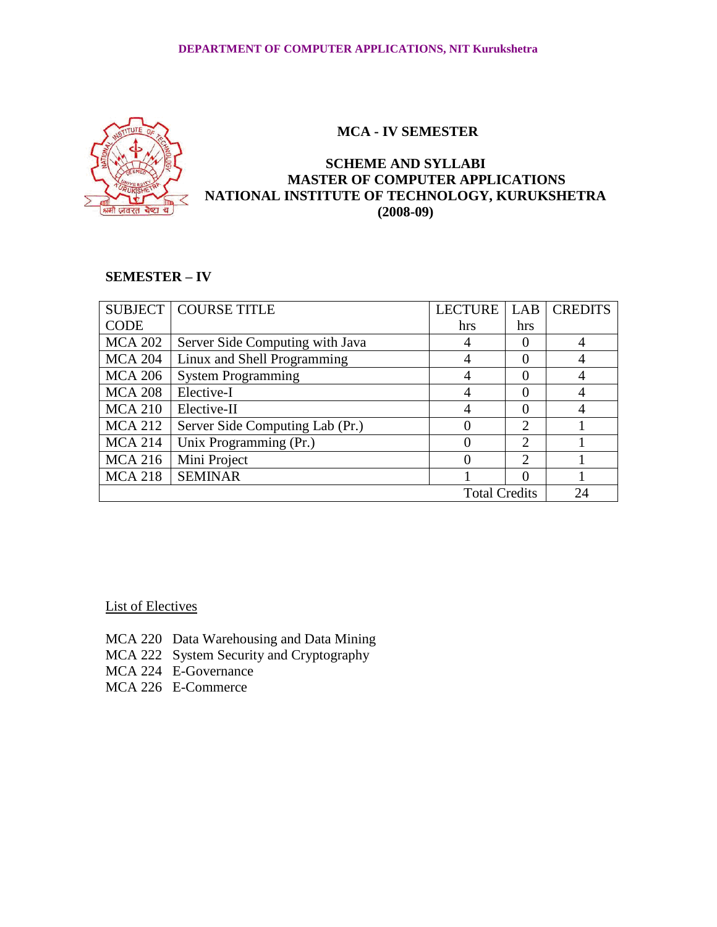

# **SCHEME AND SYLLABI MASTER OF COMPUTER APPLICATIONS NATIONAL INSTITUTE OF TECHNOLOGY, KURUKSHETRA (2008-09)**

# **SEMESTER – IV**

|                      | <b>SUBJECT   COURSE TITLE</b>   | <b>LECTURE</b> | LAB                         | <b>CREDITS</b> |
|----------------------|---------------------------------|----------------|-----------------------------|----------------|
| <b>CODE</b>          |                                 | hrs            | hrs                         |                |
| <b>MCA 202</b>       | Server Side Computing with Java |                |                             |                |
| <b>MCA 204</b>       | Linux and Shell Programming     |                |                             |                |
| <b>MCA 206</b>       | <b>System Programming</b>       |                |                             |                |
| <b>MCA 208</b>       | Elective-I                      |                |                             |                |
| <b>MCA 210</b>       | Elective-II                     |                |                             |                |
| <b>MCA 212</b>       | Server Side Computing Lab (Pr.) |                | $\overline{2}$              |                |
| <b>MCA 214</b>       | Unix Programming (Pr.)          |                | $\overline{2}$              |                |
| <b>MCA 216</b>       | Mini Project                    |                | $\mathcal{D}_{\mathcal{A}}$ |                |
| <b>MCA 218</b>       | <b>SEMINAR</b>                  |                |                             |                |
| <b>Total Credits</b> |                                 |                |                             | 24             |

List of Electives

- MCA 220 Data Warehousing and Data Mining
- MCA 222 System Security and Cryptography
- MCA 224 E-Governance
- MCA 226 E-Commerce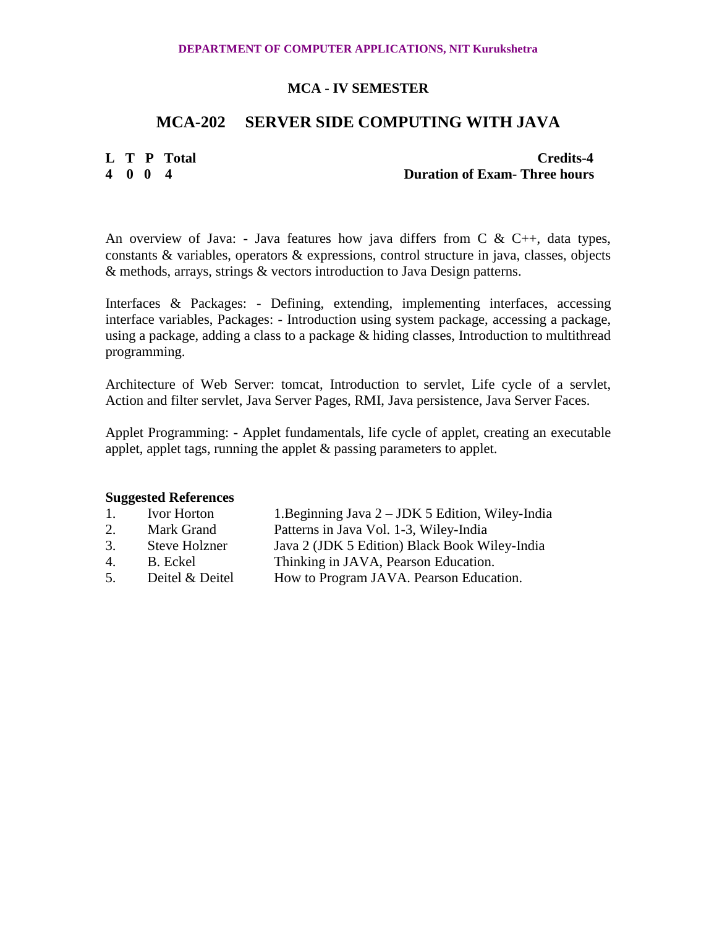# **MCA-202 SERVER SIDE COMPUTING WITH JAVA**

# **L T P Total Credits-4 4 0 0 4 Duration of Exam- Three hours**

An overview of Java: - Java features how java differs from  $C \& C_{++}$ , data types, constants & variables, operators & expressions, control structure in java, classes, objects & methods, arrays, strings & vectors introduction to Java Design patterns.

Interfaces & Packages: - Defining, extending, implementing interfaces, accessing interface variables, Packages: - Introduction using system package, accessing a package, using a package, adding a class to a package & hiding classes, Introduction to multithread programming.

Architecture of Web Server: tomcat, Introduction to servlet, Life cycle of a servlet, Action and filter servlet, Java Server Pages, RMI, Java persistence, Java Server Faces.

Applet Programming: - Applet fundamentals, life cycle of applet, creating an executable applet, applet tags, running the applet & passing parameters to applet.

| $\mathbf{1}$ . | Ivor Horton          | 1. Beginning Java 2 – JDK 5 Edition, Wiley-India |
|----------------|----------------------|--------------------------------------------------|
| 2.             | Mark Grand           | Patterns in Java Vol. 1-3, Wiley-India           |
| 3.             | <b>Steve Holzner</b> | Java 2 (JDK 5 Edition) Black Book Wiley-India    |
| 4.             | B. Eckel             | Thinking in JAVA, Pearson Education.             |
| 5.             | Deitel & Deitel      | How to Program JAVA. Pearson Education.          |
|                |                      |                                                  |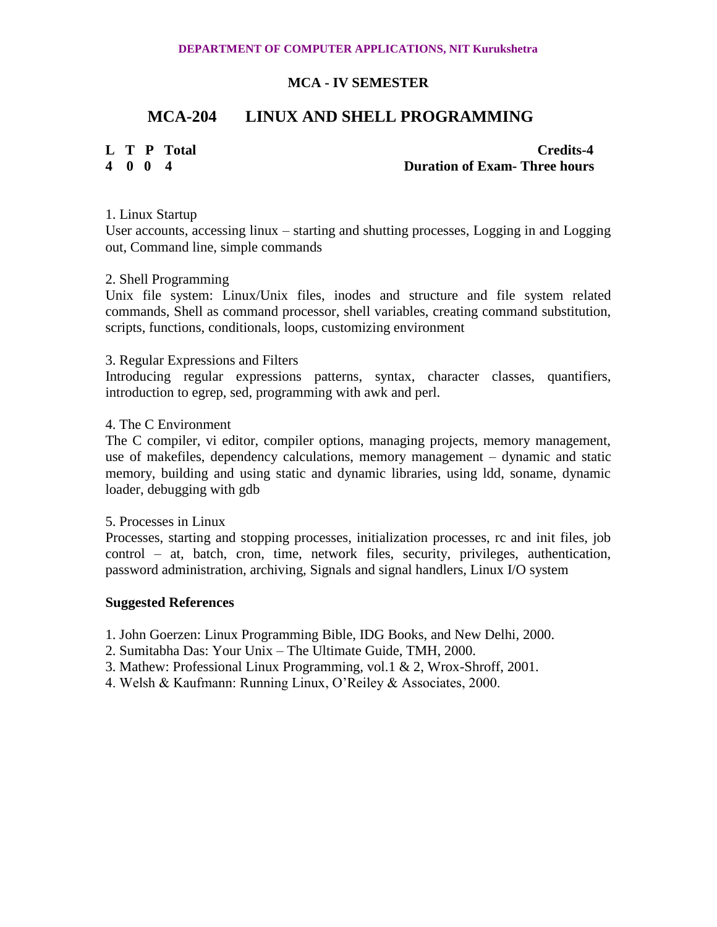# **MCA-204 LINUX AND SHELL PROGRAMMING**

# **L T P Total Credits-4 4 0 0 4 Duration of Exam- Three hours**

1. Linux Startup

User accounts, accessing linux – starting and shutting processes, Logging in and Logging out, Command line, simple commands

#### 2. Shell Programming

Unix file system: Linux/Unix files, inodes and structure and file system related commands, Shell as command processor, shell variables, creating command substitution, scripts, functions, conditionals, loops, customizing environment

### 3. Regular Expressions and Filters

Introducing regular expressions patterns, syntax, character classes, quantifiers, introduction to egrep, sed, programming with awk and perl.

### 4. The C Environment

The C compiler, vi editor, compiler options, managing projects, memory management, use of makefiles, dependency calculations, memory management – dynamic and static memory, building and using static and dynamic libraries, using ldd, soname, dynamic loader, debugging with gdb

#### 5. Processes in Linux

Processes, starting and stopping processes, initialization processes, rc and init files, job control – at, batch, cron, time, network files, security, privileges, authentication, password administration, archiving, Signals and signal handlers, Linux I/O system

#### **Suggested References**

1. John Goerzen: Linux Programming Bible, IDG Books, and New Delhi, 2000.

- 2. Sumitabha Das: Your Unix The Ultimate Guide, TMH, 2000.
- 3. Mathew: Professional Linux Programming, vol.1 & 2, Wrox-Shroff, 2001.
- 4. Welsh & Kaufmann: Running Linux, O'Reiley & Associates, 2000.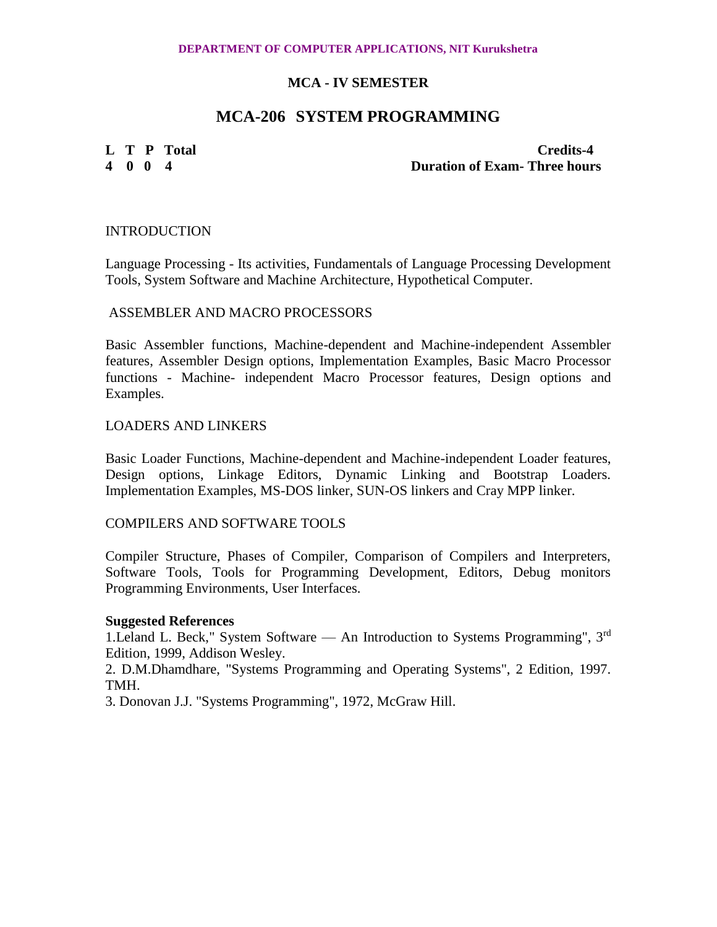#### **DEPARTMENT OF COMPUTER APPLICATIONS, NIT Kurukshetra**

# **MCA - IV SEMESTER**

# **MCA-206 SYSTEM PROGRAMMING**

**L T P Total Credits-4 4 0 0 4 Duration of Exam- Three hours**

#### **INTRODUCTION**

Language Processing - Its activities, Fundamentals of Language Processing Development Tools, System Software and Machine Architecture, Hypothetical Computer.

#### ASSEMBLER AND MACRO PROCESSORS

Basic Assembler functions, Machine-dependent and Machine-independent Assembler features, Assembler Design options, Implementation Examples, Basic Macro Processor functions - Machine- independent Macro Processor features, Design options and Examples.

#### LOADERS AND LINKERS

Basic Loader Functions, Machine-dependent and Machine-independent Loader features, Design options, Linkage Editors, Dynamic Linking and Bootstrap Loaders. Implementation Examples, MS-DOS linker, SUN-OS linkers and Cray MPP linker.

#### COMPILERS AND SOFTWARE TOOLS

Compiler Structure, Phases of Compiler, Comparison of Compilers and Interpreters, Software Tools, Tools for Programming Development, Editors, Debug monitors Programming Environments, User Interfaces.

#### **Suggested References**

1. Leland L. Beck," System Software — An Introduction to Systems Programming", 3<sup>rd</sup> Edition, 1999, Addison Wesley.

2. D.M.Dhamdhare, "Systems Programming and Operating Systems", 2 Edition, 1997. TMH.

3. Donovan J.J. "Systems Programming", 1972, McGraw Hill.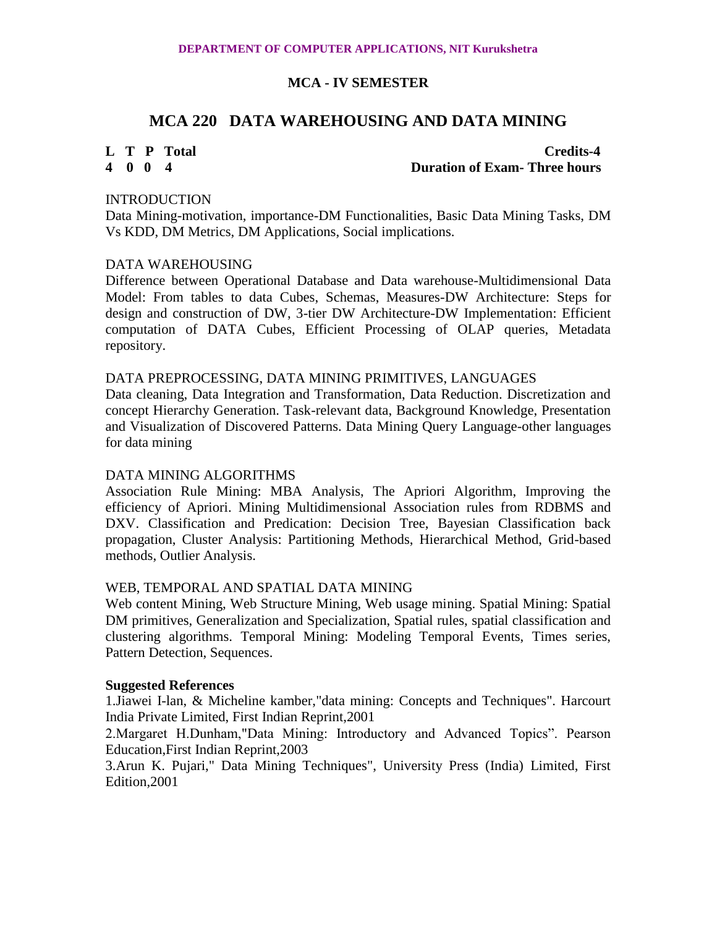# **MCA 220 DATA WAREHOUSING AND DATA MINING**

# **L T P Total Credits-4 4 0 0 4 Duration of Exam- Three hours**

### **INTRODUCTION**

Data Mining-motivation, importance-DM Functionalities, Basic Data Mining Tasks, DM Vs KDD, DM Metrics, DM Applications, Social implications.

### DATA WAREHOUSING

Difference between Operational Database and Data warehouse-Multidimensional Data Model: From tables to data Cubes, Schemas, Measures-DW Architecture: Steps for design and construction of DW, 3-tier DW Architecture-DW Implementation: Efficient computation of DATA Cubes, Efficient Processing of OLAP queries, Metadata repository.

### DATA PREPROCESSING, DATA MINING PRIMITIVES, LANGUAGES

Data cleaning, Data Integration and Transformation, Data Reduction. Discretization and concept Hierarchy Generation. Task-relevant data, Background Knowledge, Presentation and Visualization of Discovered Patterns. Data Mining Query Language-other languages for data mining

# DATA MINING ALGORITHMS

Association Rule Mining: MBA Analysis, The Apriori Algorithm, Improving the efficiency of Apriori. Mining Multidimensional Association rules from RDBMS and DXV. Classification and Predication: Decision Tree, Bayesian Classification back propagation, Cluster Analysis: Partitioning Methods, Hierarchical Method, Grid-based methods, Outlier Analysis.

#### WEB, TEMPORAL AND SPATIAL DATA MINING

Web content Mining, Web Structure Mining, Web usage mining. Spatial Mining: Spatial DM primitives, Generalization and Specialization, Spatial rules, spatial classification and clustering algorithms. Temporal Mining: Modeling Temporal Events, Times series, Pattern Detection, Sequences.

#### **Suggested References**

1.Jiawei I-lan, & Micheline kamber,"data mining: Concepts and Techniques". Harcourt India Private Limited, First Indian Reprint,2001

2.Margaret H.Dunham,"Data Mining: Introductory and Advanced Topics". Pearson Education,First Indian Reprint,2003

3.Arun K. Pujari," Data Mining Techniques", University Press (India) Limited, First Edition,2001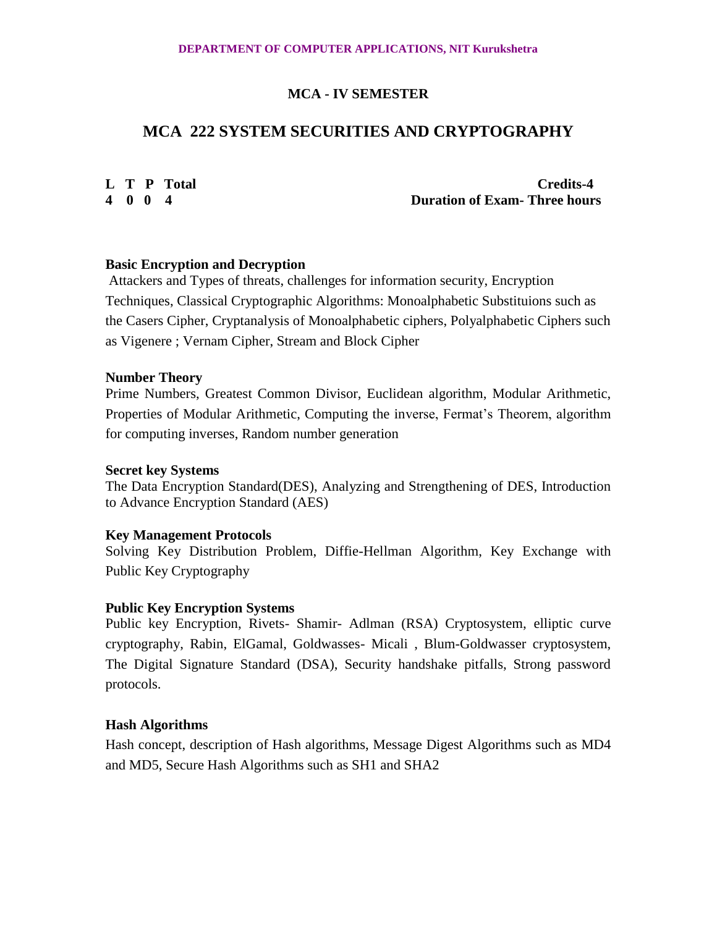# **MCA 222 SYSTEM SECURITIES AND CRYPTOGRAPHY**

**L T P Total Credits-4 4 0 0 4 Duration of Exam- Three hours**

# **Basic Encryption and Decryption**

Attackers and Types of threats, challenges for information security, Encryption Techniques, Classical Cryptographic Algorithms: Monoalphabetic Substituions such as the Casers Cipher, Cryptanalysis of Monoalphabetic ciphers, Polyalphabetic Ciphers such as Vigenere ; Vernam Cipher, Stream and Block Cipher

# **Number Theory**

Prime Numbers, Greatest Common Divisor, Euclidean algorithm, Modular Arithmetic, Properties of Modular Arithmetic, Computing the inverse, Fermat's Theorem, algorithm for computing inverses, Random number generation

#### **Secret key Systems**

The Data Encryption Standard(DES), Analyzing and Strengthening of DES, Introduction to Advance Encryption Standard (AES)

# **Key Management Protocols**

Solving Key Distribution Problem, Diffie-Hellman Algorithm, Key Exchange with Public Key Cryptography

# **Public Key Encryption Systems**

Public key Encryption, Rivets- Shamir- Adlman (RSA) Cryptosystem, elliptic curve cryptography, Rabin, ElGamal, Goldwasses- Micali , Blum-Goldwasser cryptosystem, The Digital Signature Standard (DSA), Security handshake pitfalls, Strong password protocols.

# **Hash Algorithms**

Hash concept, description of Hash algorithms, Message Digest Algorithms such as MD4 and MD5, Secure Hash Algorithms such as SH1 and SHA2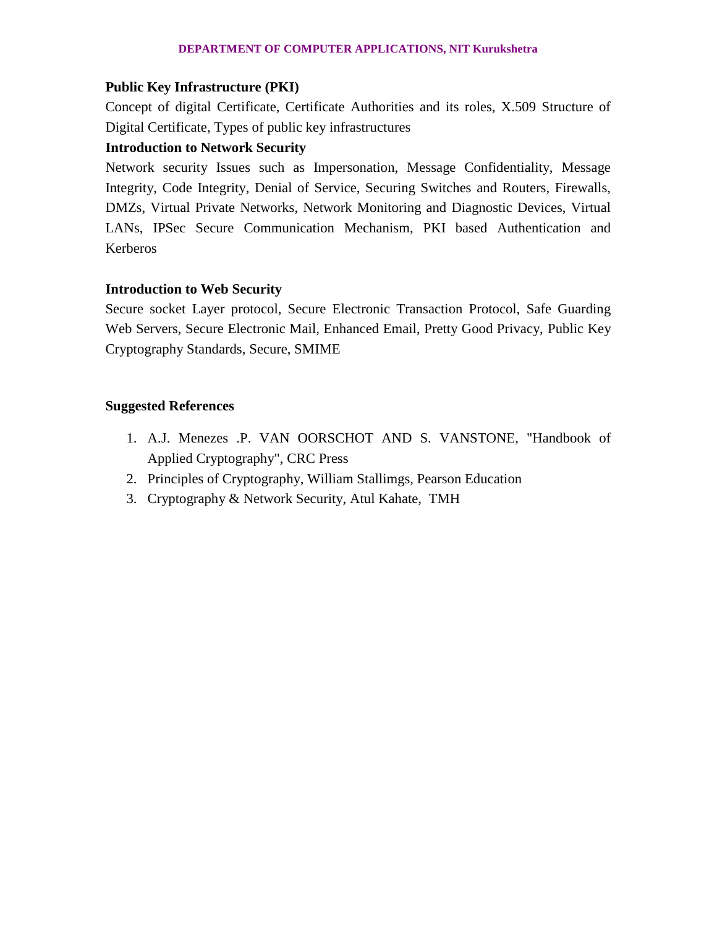#### **DEPARTMENT OF COMPUTER APPLICATIONS, NIT Kurukshetra**

# **Public Key Infrastructure (PKI)**

Concept of digital Certificate, Certificate Authorities and its roles, X.509 Structure of Digital Certificate, Types of public key infrastructures

# **Introduction to Network Security**

Network security Issues such as Impersonation, Message Confidentiality, Message Integrity, Code Integrity, Denial of Service, Securing Switches and Routers, Firewalls, DMZs, Virtual Private Networks, Network Monitoring and Diagnostic Devices, Virtual LANs, IPSec Secure Communication Mechanism, PKI based Authentication and Kerberos

# **Introduction to Web Security**

Secure socket Layer protocol, Secure Electronic Transaction Protocol, Safe Guarding Web Servers, Secure Electronic Mail, Enhanced Email, Pretty Good Privacy, Public Key Cryptography Standards, Secure, SMIME

- 1. A.J. Menezes .P. VAN OORSCHOT AND S. VANSTONE, "Handbook of Applied Cryptography", CRC Press
- 2. Principles of Cryptography, William Stallimgs, Pearson Education
- 3. Cryptography & Network Security, Atul Kahate, TMH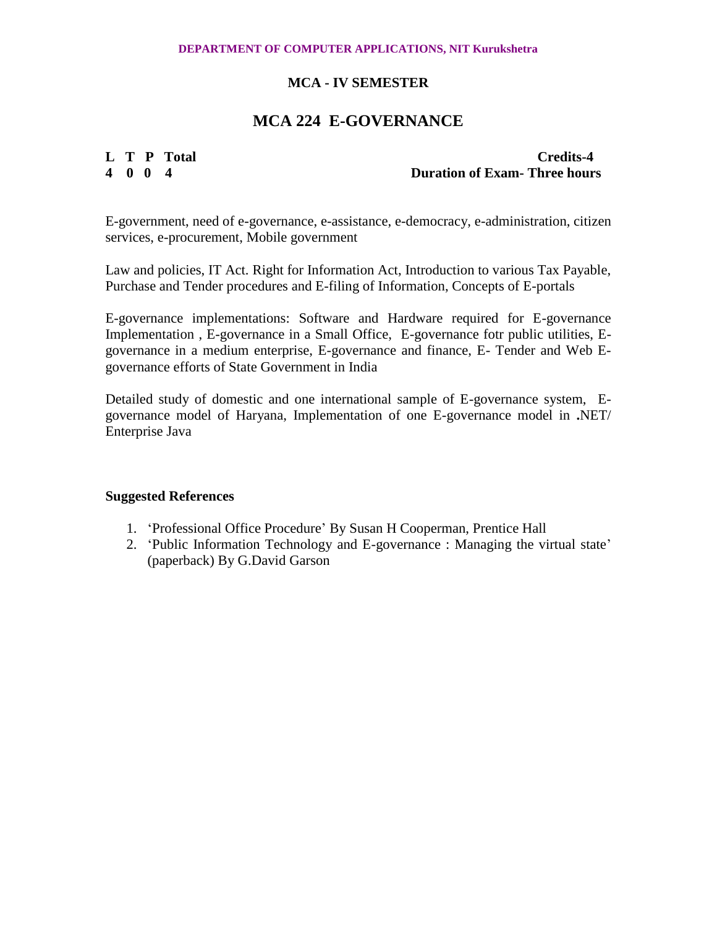#### **DEPARTMENT OF COMPUTER APPLICATIONS, NIT Kurukshetra**

# **MCA - IV SEMESTER**

# **MCA 224 E-GOVERNANCE**

**L T P Total Credits-4**<br> **4** 0 0 4<br> **Duration of Exam- Three hours 4 0 0 4 Duration of Exam- Three hours**

E-government, need of e-governance, e-assistance, e-democracy, e-administration, citizen services, e-procurement, Mobile government

Law and policies, IT Act. Right for Information Act, Introduction to various Tax Payable, Purchase and Tender procedures and E-filing of Information, Concepts of E-portals

E-governance implementations: Software and Hardware required for E-governance Implementation , E-governance in a Small Office, E-governance fotr public utilities, Egovernance in a medium enterprise, E-governance and finance, E- Tender and Web Egovernance efforts of State Government in India

Detailed study of domestic and one international sample of E-governance system, Egovernance model of Haryana, Implementation of one E-governance model in **.**NET/ Enterprise Java

- 1. 'Professional Office Procedure' By Susan H Cooperman, Prentice Hall
- 2. 'Public Information Technology and E-governance : Managing the virtual state' (paperback) By G.David Garson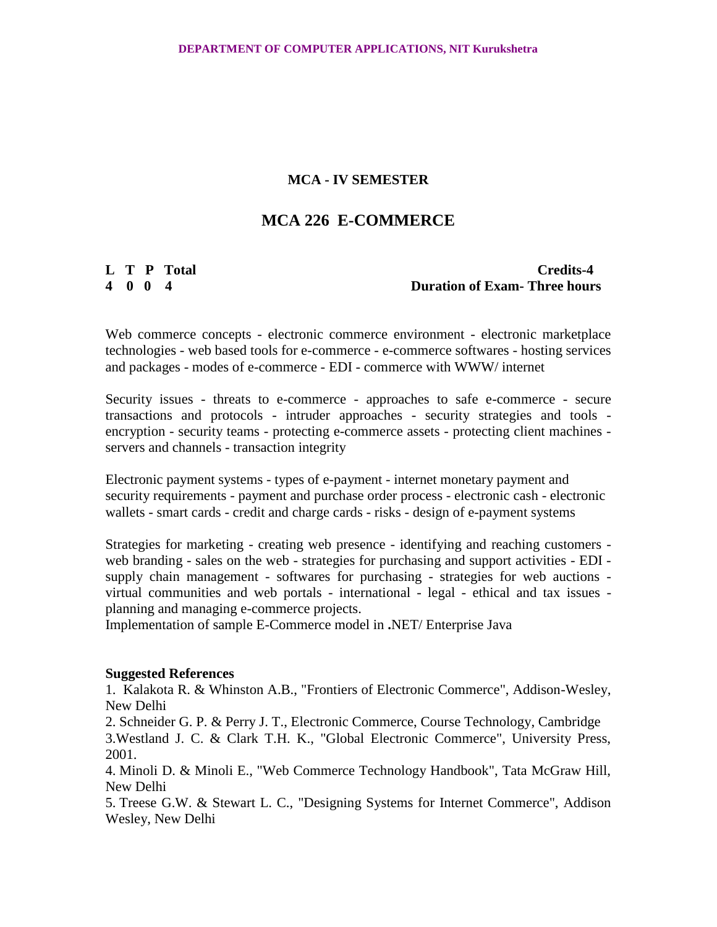# **MCA 226 E-COMMERCE**

**L T P Total Credits-4 4 0 0 4 Duration of Exam- Three hours**

Web commerce concepts - electronic commerce environment - electronic marketplace technologies - web based tools for e-commerce - e-commerce softwares - hosting services and packages - modes of e-commerce - EDI - commerce with WWW/ internet

Security issues - threats to e-commerce - approaches to safe e-commerce - secure transactions and protocols - intruder approaches - security strategies and tools encryption - security teams - protecting e-commerce assets - protecting client machines servers and channels - transaction integrity

Electronic payment systems - types of e-payment - internet monetary payment and security requirements - payment and purchase order process - electronic cash - electronic wallets - smart cards - credit and charge cards - risks - design of e-payment systems

Strategies for marketing - creating web presence - identifying and reaching customers web branding - sales on the web - strategies for purchasing and support activities - EDI supply chain management - softwares for purchasing - strategies for web auctions virtual communities and web portals - international - legal - ethical and tax issues planning and managing e-commerce projects.

Implementation of sample E-Commerce model in **.**NET/ Enterprise Java

#### **Suggested References**

1. Kalakota R. & Whinston A.B., "Frontiers of Electronic Commerce", Addison-Wesley, New Delhi

2. Schneider G. P. & Perry J. T., Electronic Commerce, Course Technology, Cambridge 3.Westland J. C. & Clark T.H. K., "Global Electronic Commerce", University Press, 2001.

4. Minoli D. & Minoli E., "Web Commerce Technology Handbook", Tata McGraw Hill, New Delhi

5. Treese G.W. & Stewart L. C., "Designing Systems for Internet Commerce", Addison Wesley, New Delhi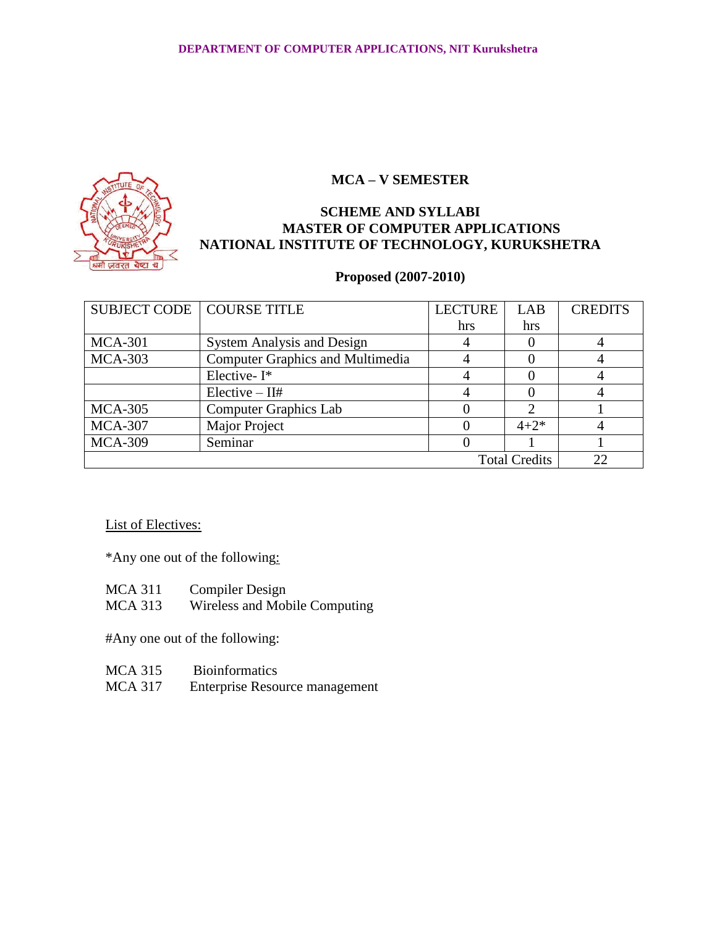

# **SCHEME AND SYLLABI MASTER OF COMPUTER APPLICATIONS NATIONAL INSTITUTE OF TECHNOLOGY, KURUKSHETRA**

# **Proposed (2007-2010)**

| SUBJECT CODE   COURSE TITLE |                                         | <b>LECTURE</b> | LAB       | <b>CREDITS</b> |
|-----------------------------|-----------------------------------------|----------------|-----------|----------------|
|                             |                                         | hrs            | hrs       |                |
| $MCA-301$                   | <b>System Analysis and Design</b>       |                |           |                |
| <b>MCA-303</b>              | <b>Computer Graphics and Multimedia</b> |                |           |                |
|                             | Elective-I*                             |                |           |                |
|                             | $Elective - II#$                        |                |           |                |
| <b>MCA-305</b>              | <b>Computer Graphics Lab</b>            |                |           |                |
| <b>MCA-307</b>              | Major Project                           |                | $4 + 2^*$ |                |
| <b>MCA-309</b>              | Seminar                                 |                |           |                |
| <b>Total Credits</b>        |                                         |                |           |                |

# List of Electives:

\*Any one out of the following:

| <b>MCA 311</b> | <b>Compiler Design</b>        |
|----------------|-------------------------------|
| MCA 313        | Wireless and Mobile Computing |

#Any one out of the following:

| <b>MCA 315</b> | <b>Bioinformatics</b>          |
|----------------|--------------------------------|
| <b>MCA 317</b> | Enterprise Resource management |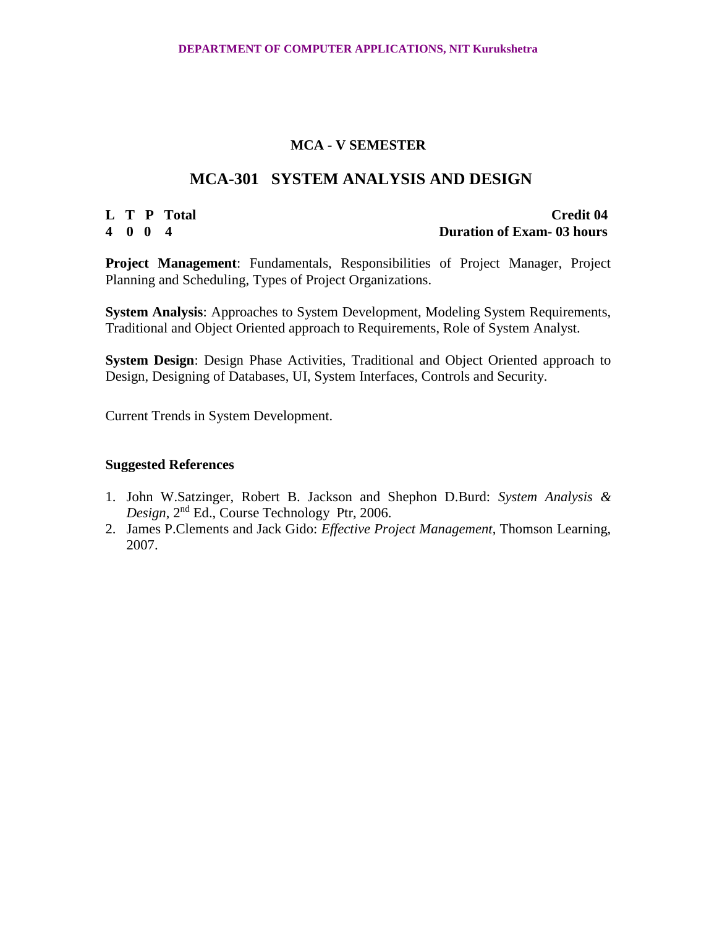# **MCA-301 SYSTEM ANALYSIS AND DESIGN**

### **L T P Total Credit 04 4 0 0 4 Duration of Exam- 03 hours**

**Project Management**: Fundamentals, Responsibilities of Project Manager, Project Planning and Scheduling, Types of Project Organizations.

**System Analysis**: Approaches to System Development, Modeling System Requirements, Traditional and Object Oriented approach to Requirements, Role of System Analyst.

**System Design**: Design Phase Activities, Traditional and Object Oriented approach to Design, Designing of Databases, UI, System Interfaces, Controls and Security.

Current Trends in System Development.

- 1. John W.Satzinger, Robert B. Jackson and Shephon D.Burd: *System Analysis & Design*, 2nd Ed., Course Technology Ptr, 2006.
- 2. James P.Clements and Jack Gido: *Effective Project Management*, Thomson Learning, 2007.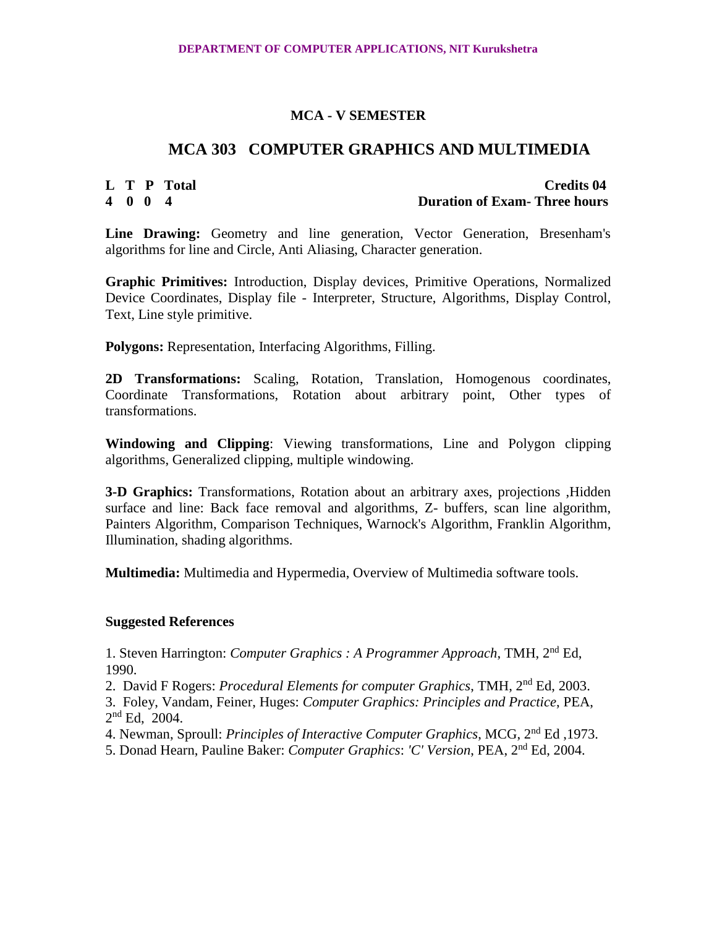# **MCA 303 COMPUTER GRAPHICS AND MULTIMEDIA**

# **L T P Total Credits 04 4 0 0 4 Duration of Exam- Three hours**

**Line Drawing:** Geometry and line generation, Vector Generation, Bresenham's algorithms for line and Circle, Anti Aliasing, Character generation.

**Graphic Primitives:** Introduction, Display devices, Primitive Operations, Normalized Device Coordinates, Display file - Interpreter, Structure, Algorithms, Display Control, Text, Line style primitive.

**Polygons:** Representation, Interfacing Algorithms, Filling.

**2D Transformations:** Scaling, Rotation, Translation, Homogenous coordinates, Coordinate Transformations, Rotation about arbitrary point, Other types of transformations.

**Windowing and Clipping**: Viewing transformations, Line and Polygon clipping algorithms, Generalized clipping, multiple windowing.

**3-D Graphics:** Transformations, Rotation about an arbitrary axes, projections ,Hidden surface and line: Back face removal and algorithms, Z- buffers, scan line algorithm, Painters Algorithm, Comparison Techniques, Warnock's Algorithm, Franklin Algorithm, Illumination, shading algorithms.

**Multimedia:** Multimedia and Hypermedia, Overview of Multimedia software tools.

# **Suggested References**

1. Steven Harrington: *Computer Graphics : A Programmer Approach*, TMH, 2nd Ed, 1990.

2. David F Rogers: *Procedural Elements for computer Graphics*, TMH, 2nd Ed, 2003.

3. Foley, Vandam, Feiner, Huges: *Computer Graphics: Principles and Practice*, PEA, 2 nd Ed, 2004.

4. Newman, Sproull: *Principles of Interactive Computer Graphics*, MCG, 2nd Ed ,1973.

5. Donad Hearn, Pauline Baker: *Computer Graphics*: *'C' Version*, PEA, 2nd Ed, 2004.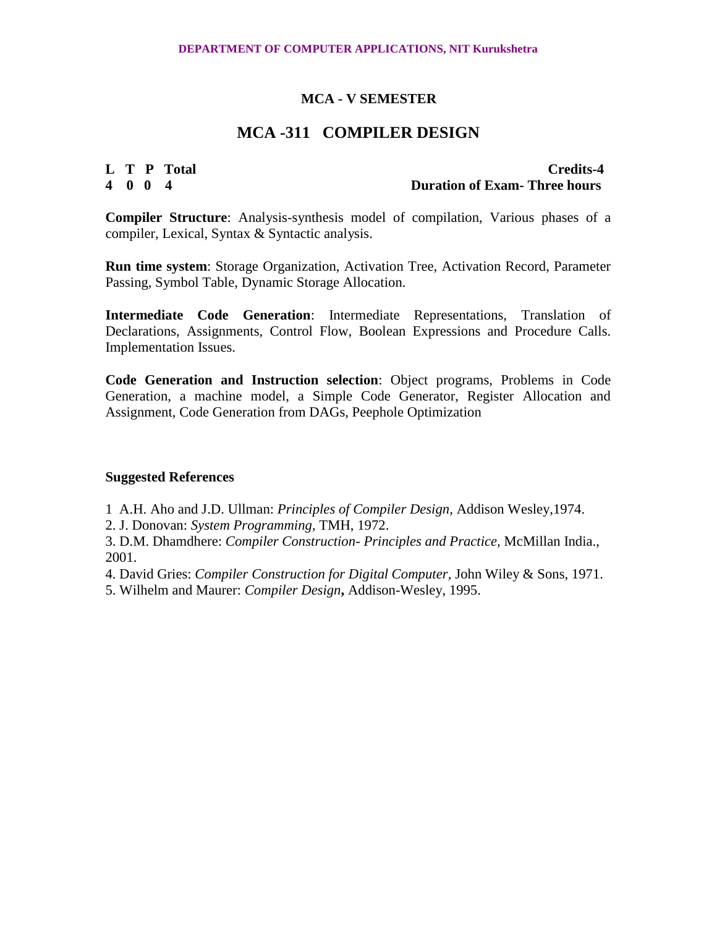# **MCA -311 COMPILER DESIGN**

**L T P Total Credits-4 4 0 0 4 Duration of Exam- Three hours**

**Compiler Structure**: Analysis-synthesis model of compilation, Various phases of a compiler, Lexical, Syntax & Syntactic analysis.

**Run time system**: Storage Organization, Activation Tree, Activation Record, Parameter Passing, Symbol Table, Dynamic Storage Allocation.

**Intermediate Code Generation**: Intermediate Representations, Translation of Declarations, Assignments, Control Flow, Boolean Expressions and Procedure Calls. Implementation Issues.

**Code Generation and Instruction selection**: Object programs, Problems in Code Generation, a machine model, a Simple Code Generator, Register Allocation and Assignment, Code Generation from DAGs, Peephole Optimization

#### **Suggested References**

1 A.H. Aho and J.D. Ullman: *Principles of Compiler Design*, Addison Wesley,1974.

2. J. Donovan: *System Programming*, TMH, 1972.

3. D.M. Dhamdhere: *Compiler Construction- Principles and Practice,* McMillan India., 2001.

4. David Gries: *Compiler Construction for Digital Computer*, John Wiley & Sons, 1971.

5. Wilhelm and Maurer: *Compiler Design***,** Addison-Wesley, 1995.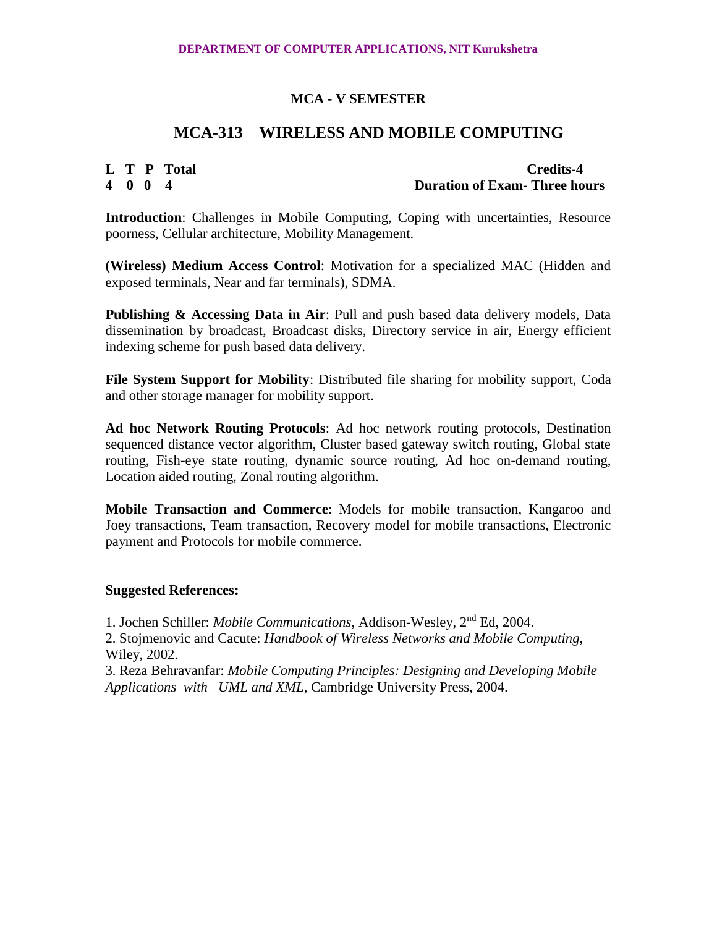# **MCA-313 WIRELESS AND MOBILE COMPUTING**

**L T P Total Credits-4 4 0 0 4 Duration of Exam- Three hours**

**Introduction**: Challenges in Mobile Computing, Coping with uncertainties, Resource poorness, Cellular architecture, Mobility Management.

**(Wireless) Medium Access Control**: Motivation for a specialized MAC (Hidden and exposed terminals, Near and far terminals), SDMA.

**Publishing & Accessing Data in Air**: Pull and push based data delivery models, Data dissemination by broadcast, Broadcast disks, Directory service in air, Energy efficient indexing scheme for push based data delivery.

**File System Support for Mobility**: Distributed file sharing for mobility support, Coda and other storage manager for mobility support.

**Ad hoc Network Routing Protocols**: Ad hoc network routing protocols, Destination sequenced distance vector algorithm, Cluster based gateway switch routing, Global state routing, Fish-eye state routing, dynamic source routing, Ad hoc on-demand routing, Location aided routing, Zonal routing algorithm.

**Mobile Transaction and Commerce**: Models for mobile transaction, Kangaroo and Joey transactions, Team transaction, Recovery model for mobile transactions, Electronic payment and Protocols for mobile commerce.

# **Suggested References:**

1. Jochen Schiller: *Mobile Communications*, Addison-Wesley, 2nd Ed, 2004.

2. Stojmenovic and Cacute: *Handbook of Wireless Networks and Mobile Computing*, Wiley, 2002.

3. Reza Behravanfar: *Mobile Computing Principles: Designing and Developing Mobile Applications with UML and XML*, Cambridge University Press, 2004.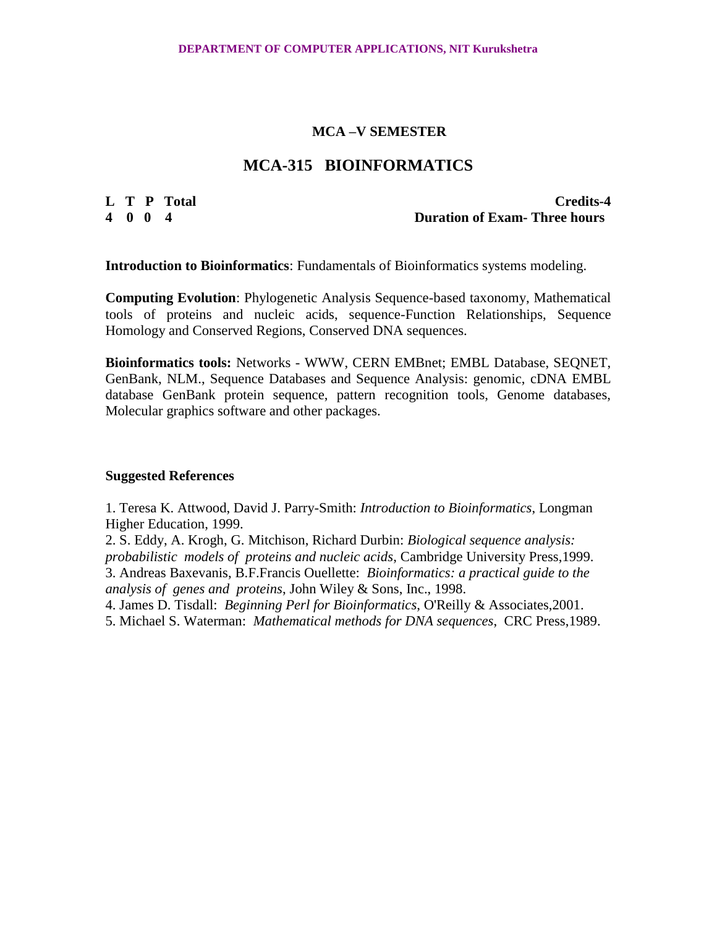# **MCA-315 BIOINFORMATICS**

**L T P Total Credits-4 4 0 0 4 Duration of Exam- Three hours**

**Introduction to Bioinformatics**: Fundamentals of Bioinformatics systems modeling.

**Computing Evolution**: Phylogenetic Analysis Sequence-based taxonomy, Mathematical tools of proteins and nucleic acids, sequence-Function Relationships, Sequence Homology and Conserved Regions, Conserved DNA sequences.

**Bioinformatics tools:** Networks - WWW, CERN EMBnet; EMBL Database, SEQNET, GenBank, NLM., Sequence Databases and Sequence Analysis: genomic, cDNA EMBL database GenBank protein sequence, pattern recognition tools, Genome databases, Molecular graphics software and other packages.

#### **Suggested References**

1. Teresa K. Attwood, David J. Parry-Smith: *Introduction to Bioinformatics*, Longman Higher Education, 1999.

2. S. Eddy, A. Krogh, G. Mitchison, Richard Durbin: *Biological sequence analysis: probabilistic models of proteins and nucleic acids*, Cambridge University Press,1999. 3. Andreas Baxevanis, B.F.Francis Ouellette: *Bioinformatics: a practical guide to the analysis of genes and proteins*, John Wiley & Sons, Inc., 1998.

4. James D. Tisdall: *Beginning Perl for Bioinformatics*, O'Reilly & Associates,2001.

5. Michael S. Waterman: *Mathematical methods for DNA sequences*, CRC Press,1989.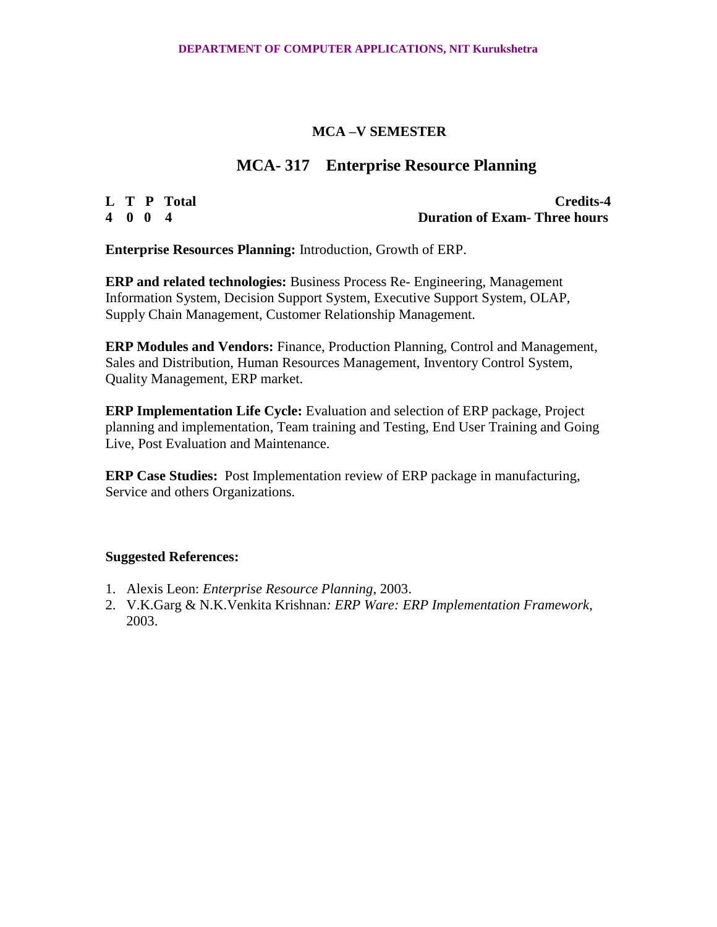# **MCA- 317 Enterprise Resource Planning**

**L T P Total Credits-4 4 0 0 4 Duration of Exam- Three hours**

**Enterprise Resources Planning:** Introduction, Growth of ERP.

**ERP and related technologies:** Business Process Re- Engineering, Management Information System, Decision Support System, Executive Support System, OLAP, Supply Chain Management, Customer Relationship Management.

**ERP Modules and Vendors:** Finance, Production Planning, Control and Management, Sales and Distribution, Human Resources Management, Inventory Control System, Quality Management, ERP market.

**ERP Implementation Life Cycle:** Evaluation and selection of ERP package, Project planning and implementation, Team training and Testing, End User Training and Going Live, Post Evaluation and Maintenance.

**ERP Case Studies:** Post Implementation review of ERP package in manufacturing, Service and others Organizations.

- 1. Alexis Leon: *Enterprise Resource Planning*, 2003.
- 2. V.K.Garg & N.K.Venkita Krishnan*: ERP Ware: ERP Implementation Framework*, 2003.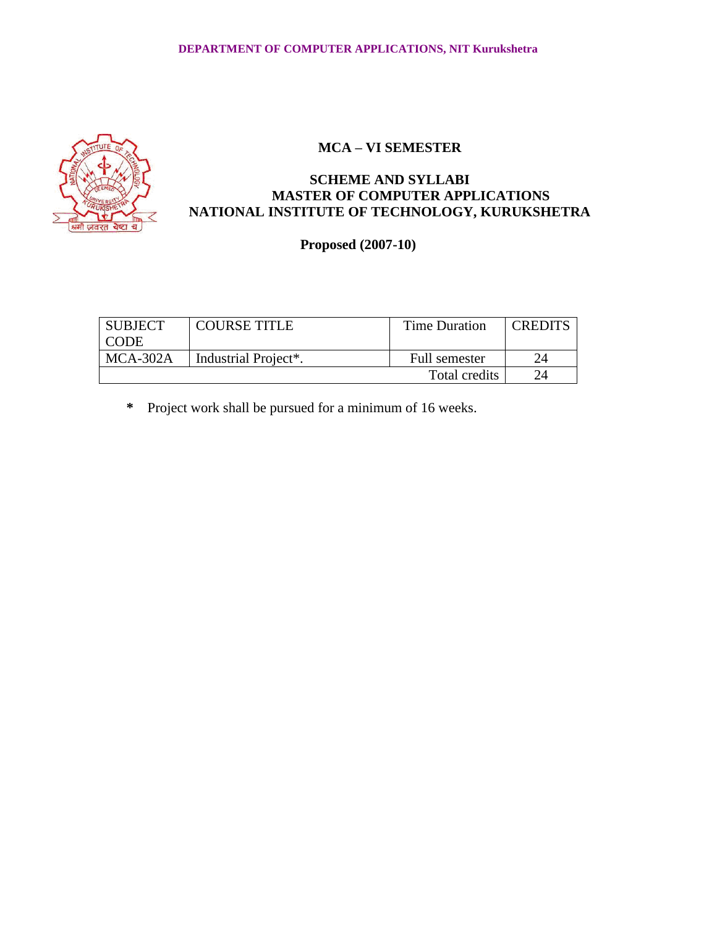

# **SCHEME AND SYLLABI MASTER OF COMPUTER APPLICATIONS NATIONAL INSTITUTE OF TECHNOLOGY, KURUKSHETRA**

# **Proposed (2007-10)**

| <b>SUBJECT</b><br>I CODE | <b>COURSE TITLE</b>               | <b>Time Duration</b> | <b>CREDITS</b> |
|--------------------------|-----------------------------------|----------------------|----------------|
| $MCA-302A$               | Industrial Project <sup>*</sup> . | Full semester        | 24             |
|                          |                                   | Total credits        |                |

**\*** Project work shall be pursued for a minimum of 16 weeks.